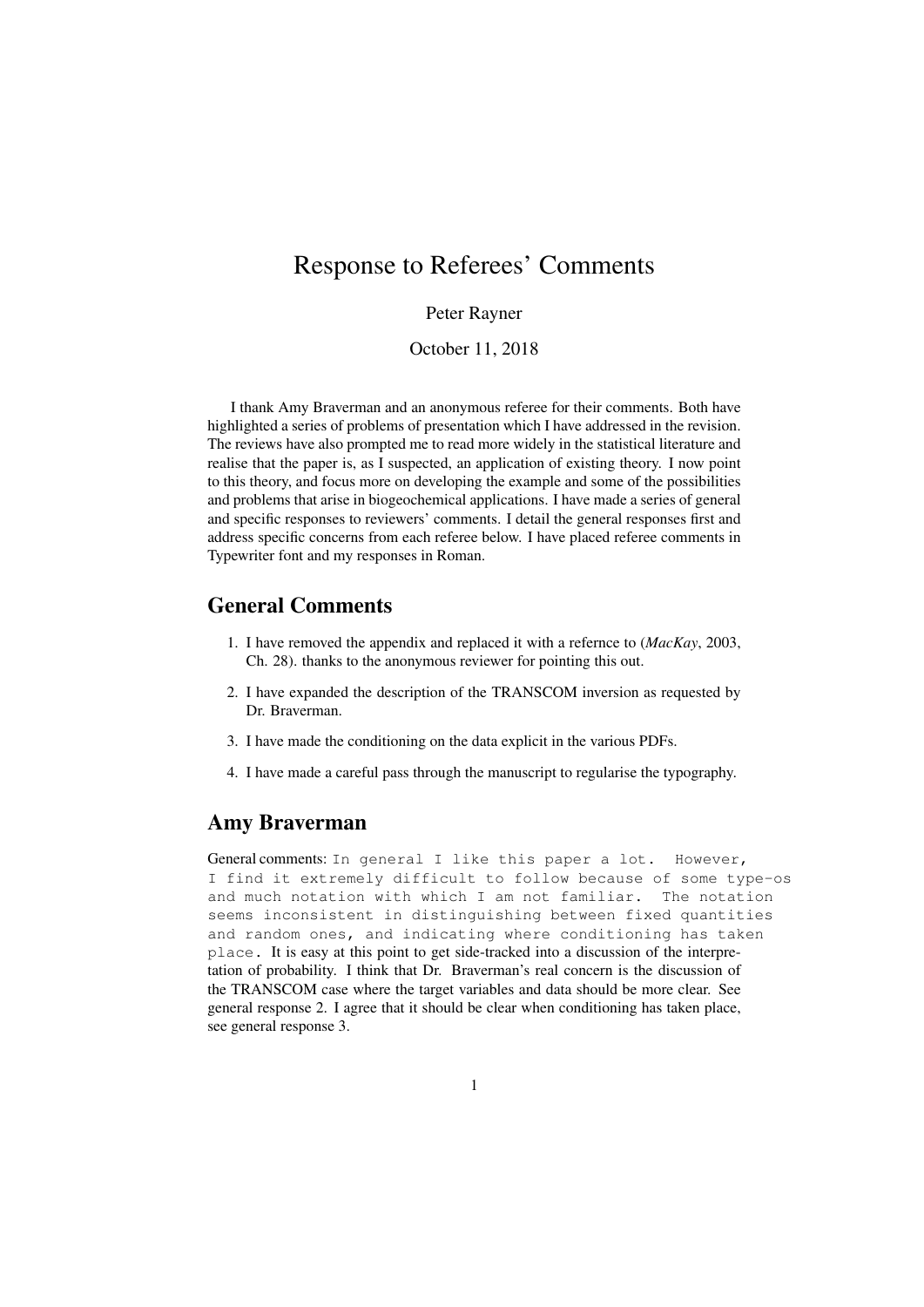# Response to Referees' Comments

### Peter Rayner

October 11, 2018

I thank Amy Braverman and an anonymous referee for their comments. Both have highlighted a series of problems of presentation which I have addressed in the revision. The reviews have also prompted me to read more widely in the statistical literature and realise that the paper is, as I suspected, an application of existing theory. I now point to this theory, and focus more on developing the example and some of the possibilities and problems that arise in biogeochemical applications. I have made a series of general and specific responses to reviewers' comments. I detail the general responses first and address specific concerns from each referee below. I have placed referee comments in Typewriter font and my responses in Roman.

## General Comments

- 1. I have removed the appendix and replaced it with a refernce to (*MacKay*, 2003, Ch. 28). thanks to the anonymous reviewer for pointing this out.
- 2. I have expanded the description of the TRANSCOM inversion as requested by Dr. Braverman.
- 3. I have made the conditioning on the data explicit in the various PDFs.
- 4. I have made a careful pass through the manuscript to regularise the typography.

## Amy Braverman

General comments: In general I like this paper a lot. However, I find it extremely difficult to follow because of some type-os and much notation with which I am not familiar. The notation seems inconsistent in distinguishing between fixed quantities and random ones, and indicating where conditioning has taken place. It is easy at this point to get side-tracked into a discussion of the interpretation of probability. I think that Dr. Braverman's real concern is the discussion of the TRANSCOM case where the target variables and data should be more clear. See general response 2. I agree that it should be clear when conditioning has taken place, see general response 3.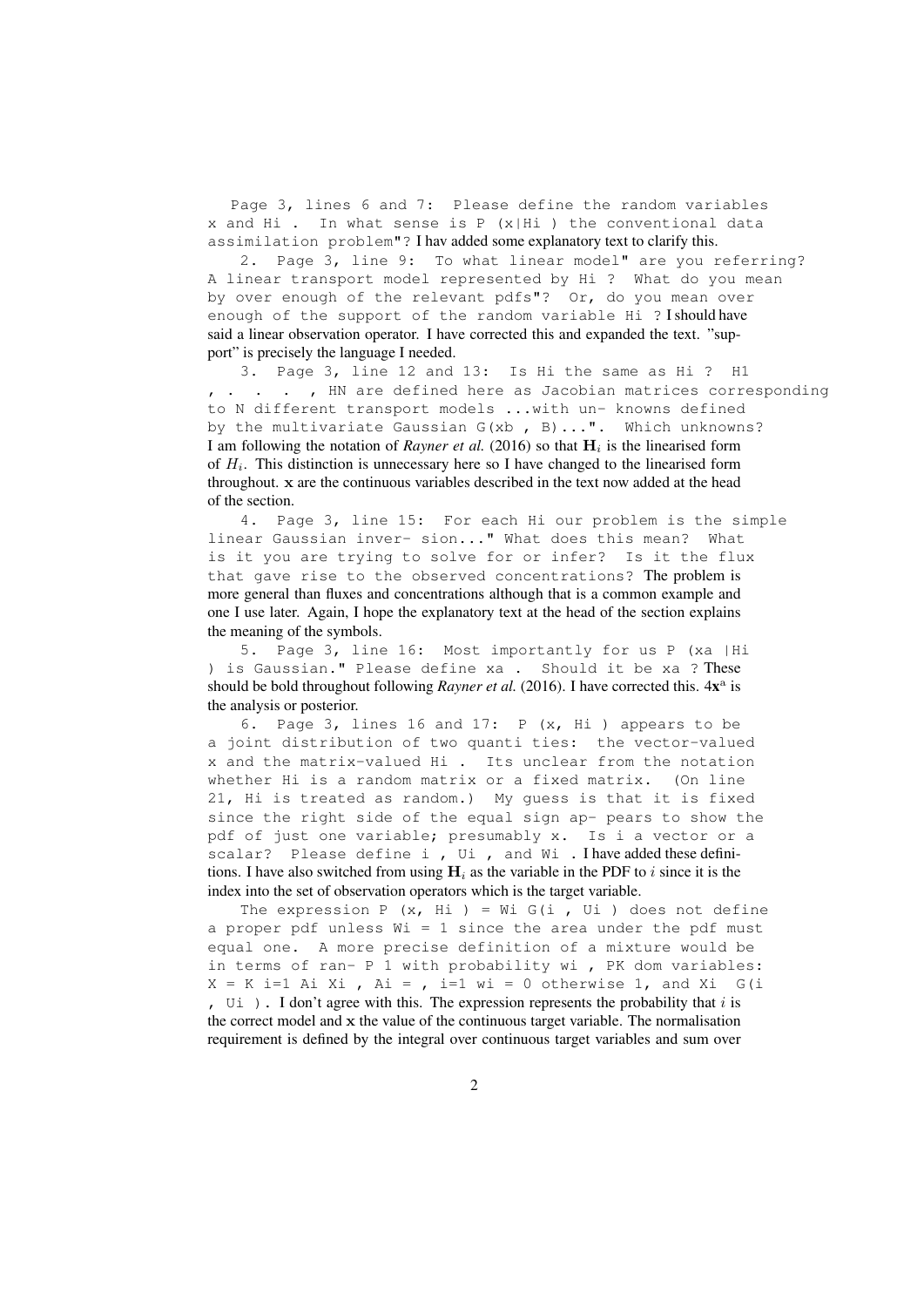Page 3, lines 6 and 7: Please define the random variables x and Hi . In what sense is P (x|Hi ) the conventional data assimilation problem"? I hav added some explanatory text to clarify this.

2. Page 3, line 9: To what linear model" are you referring? A linear transport model represented by Hi ? What do you mean by over enough of the relevant pdfs"? Or, do you mean over enough of the support of the random variable Hi ? I should have said a linear observation operator. I have corrected this and expanded the text. "support" is precisely the language I needed.

3. Page 3, line 12 and 13: Is Hi the same as Hi ? H1 , . . . , HN are defined here as Jacobian matrices corresponding to N different transport models ...with un- knowns defined by the multivariate Gaussian G(xb , B)...". Which unknowns? I am following the notation of *Rayner et al.* (2016) so that  $H_i$  is the linearised form of  $H_i$ . This distinction is unnecessary here so I have changed to the linearised form throughout. x are the continuous variables described in the text now added at the head of the section.

4. Page 3, line 15: For each Hi our problem is the simple linear Gaussian inver- sion..." What does this mean? What is it you are trying to solve for or infer? Is it the flux that gave rise to the observed concentrations? The problem is more general than fluxes and concentrations although that is a common example and one I use later. Again, I hope the explanatory text at the head of the section explains the meaning of the symbols.

5. Page 3, line 16: Most importantly for us P (xa |Hi ) is Gaussian." Please define xa . Should it be xa ? These should be bold throughout following *Rayner et al.* (2016). I have corrected this.  $4x^a$  is the analysis or posterior.

6. Page 3, lines 16 and 17: P (x, Hi ) appears to be a joint distribution of two quanti ties: the vector-valued x and the matrix-valued Hi . Its unclear from the notation whether Hi is a random matrix or a fixed matrix. (On line 21, Hi is treated as random.) My guess is that it is fixed since the right side of the equal sign ap- pears to show the pdf of just one variable; presumably x. Is i a vector or a scalar? Please define i , Ui , and Wi . I have added these definitions. I have also switched from using  $H_i$  as the variable in the PDF to i since it is the index into the set of observation operators which is the target variable.

The expression P  $(x, Hi) = Wi G(i, Ui)$  does not define a proper pdf unless  $Wi = 1$  since the area under the pdf must equal one. A more precise definition of a mixture would be in terms of ran- P 1 with probability wi , PK dom variables: X = K i=1 Ai Xi , Ai = , i=1 wi = 0 otherwise 1, and Xi G(i ,  $U_i$  ). I don't agree with this. The expression represents the probability that i is the correct model and x the value of the continuous target variable. The normalisation requirement is defined by the integral over continuous target variables and sum over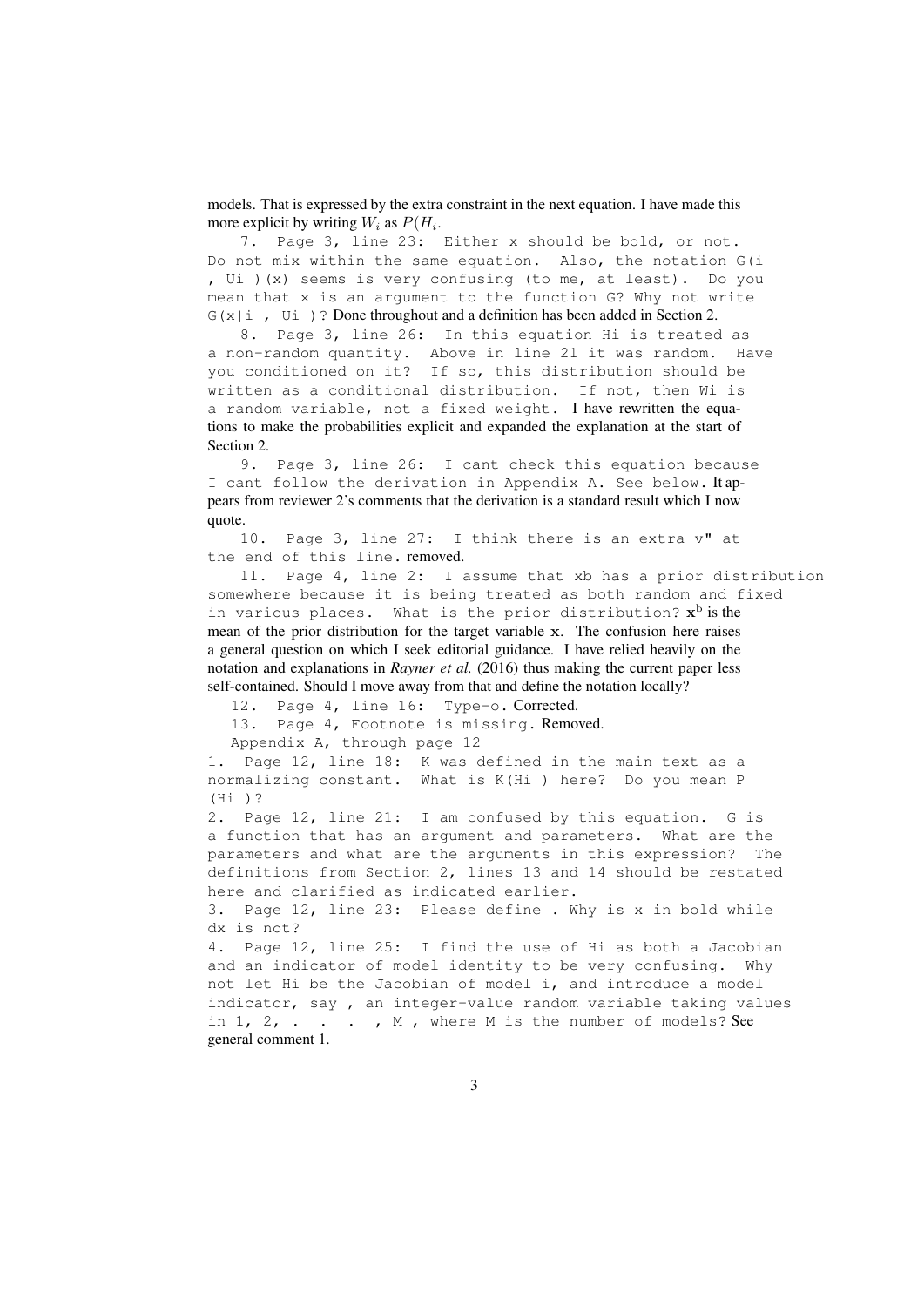models. That is expressed by the extra constraint in the next equation. I have made this more explicit by writing  $W_i$  as  $P(H_i)$ .

7. Page 3, line 23: Either x should be bold, or not. Do not mix within the same equation. Also, the notation G(i , Ui )(x) seems is very confusing (to me, at least). Do you mean that x is an argument to the function G? Why not write  $G(x|i, Ui)$ ? Done throughout and a definition has been added in Section 2.

8. Page 3, line 26: In this equation Hi is treated as a non-random quantity. Above in line 21 it was random. Have you conditioned on it? If so, this distribution should be written as a conditional distribution. If not, then Wi is a random variable, not a fixed weight. I have rewritten the equations to make the probabilities explicit and expanded the explanation at the start of Section 2.

9. Page 3, line 26: I cant check this equation because I cant follow the derivation in Appendix A. See below. It appears from reviewer 2's comments that the derivation is a standard result which I now quote.

10. Page 3, line 27: I think there is an extra v" at the end of this line. removed.

11. Page 4, line 2: I assume that xb has a prior distribution somewhere because it is being treated as both random and fixed in various places. What is the prior distribution?  $\mathbf{x}^{\text{b}}$  is the mean of the prior distribution for the target variable x. The confusion here raises a general question on which I seek editorial guidance. I have relied heavily on the notation and explanations in *Rayner et al.* (2016) thus making the current paper less self-contained. Should I move away from that and define the notation locally?

12. Page 4, line 16: Type-o. Corrected.

13. Page 4, Footnote is missing. Removed.

Appendix A, through page 12

1. Page 12, line 18: K was defined in the main text as a normalizing constant. What is K(Hi ) here? Do you mean P (Hi )?

2. Page 12, line 21: I am confused by this equation. G is a function that has an argument and parameters. What are the parameters and what are the arguments in this expression? The definitions from Section 2, lines 13 and 14 should be restated here and clarified as indicated earlier.

3. Page 12, line 23: Please define . Why is x in bold while dx is not?

4. Page 12, line 25: I find the use of Hi as both a Jacobian and an indicator of model identity to be very confusing. Why not let Hi be the Jacobian of model i, and introduce a model indicator, say , an integer-value random variable taking values in  $1, 2, \ldots$  . , M, where M is the number of models? See general comment 1.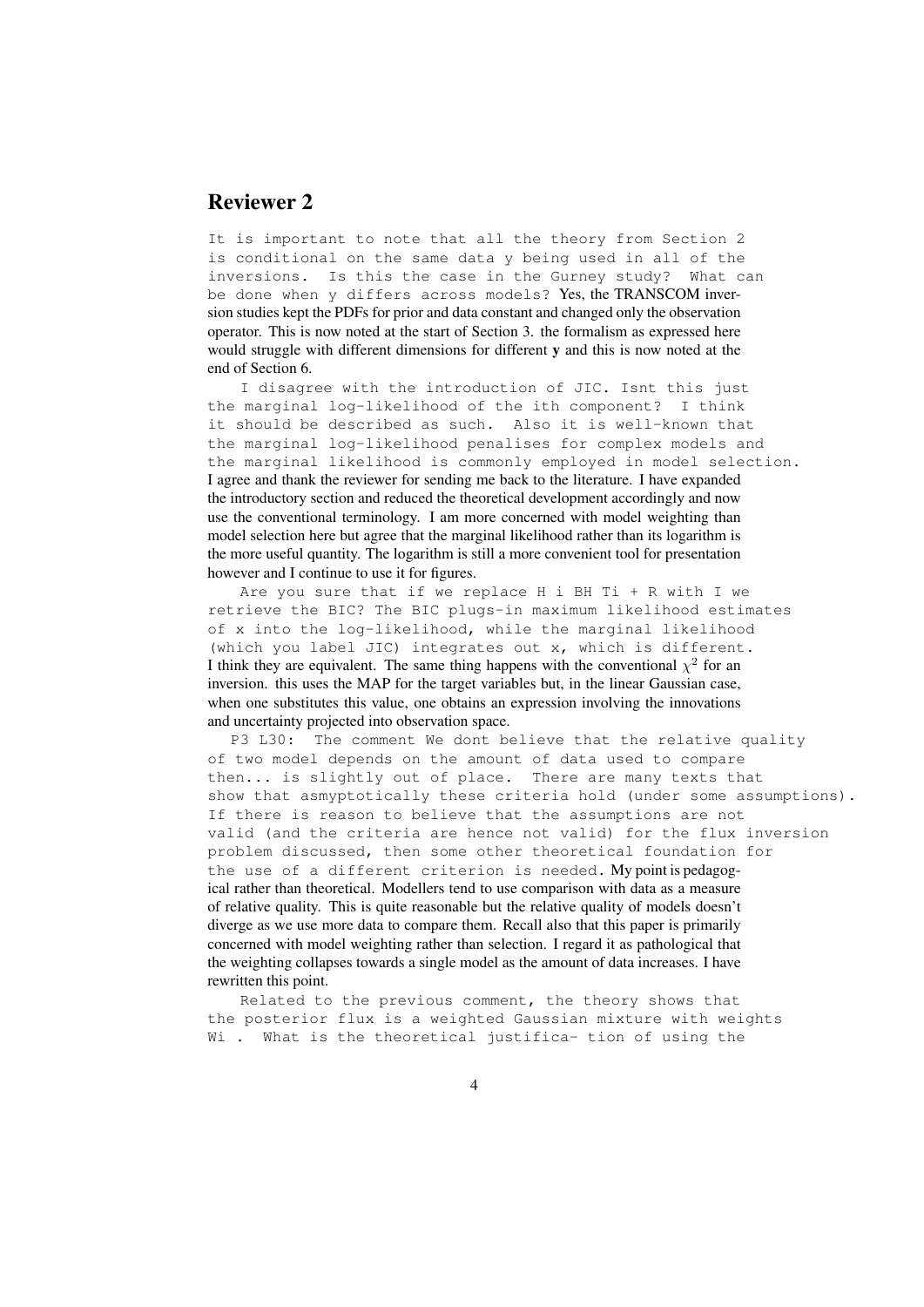## Reviewer 2

It is important to note that all the theory from Section 2 is conditional on the same data y being used in all of the inversions. Is this the case in the Gurney study? What can be done when y differs across models? Yes, the TRANSCOM inversion studies kept the PDFs for prior and data constant and changed only the observation operator. This is now noted at the start of Section 3. the formalism as expressed here would struggle with different dimensions for different y and this is now noted at the end of Section 6.

I disagree with the introduction of JIC. Isnt this just the marginal log-likelihood of the ith component? I think it should be described as such. Also it is well-known that the marginal log-likelihood penalises for complex models and the marginal likelihood is commonly employed in model selection. I agree and thank the reviewer for sending me back to the literature. I have expanded the introductory section and reduced the theoretical development accordingly and now use the conventional terminology. I am more concerned with model weighting than model selection here but agree that the marginal likelihood rather than its logarithm is the more useful quantity. The logarithm is still a more convenient tool for presentation however and I continue to use it for figures.

Are you sure that if we replace H i BH Ti + R with I we retrieve the BIC? The BIC plugs-in maximum likelihood estimates of x into the log-likelihood, while the marginal likelihood (which you label JIC) integrates out x, which is different. I think they are equivalent. The same thing happens with the conventional  $\chi^2$  for an inversion. this uses the MAP for the target variables but, in the linear Gaussian case, when one substitutes this value, one obtains an expression involving the innovations and uncertainty projected into observation space.

P3 L30: The comment We dont believe that the relative quality of two model depends on the amount of data used to compare then... is slightly out of place. There are many texts that show that asmyptotically these criteria hold (under some assumptions). If there is reason to believe that the assumptions are not valid (and the criteria are hence not valid) for the flux inversion problem discussed, then some other theoretical foundation for the use of a different criterion is needed. My point is pedagogical rather than theoretical. Modellers tend to use comparison with data as a measure of relative quality. This is quite reasonable but the relative quality of models doesn't diverge as we use more data to compare them. Recall also that this paper is primarily concerned with model weighting rather than selection. I regard it as pathological that the weighting collapses towards a single model as the amount of data increases. I have rewritten this point.

Related to the previous comment, the theory shows that the posterior flux is a weighted Gaussian mixture with weights Wi . What is the theoretical justifica- tion of using the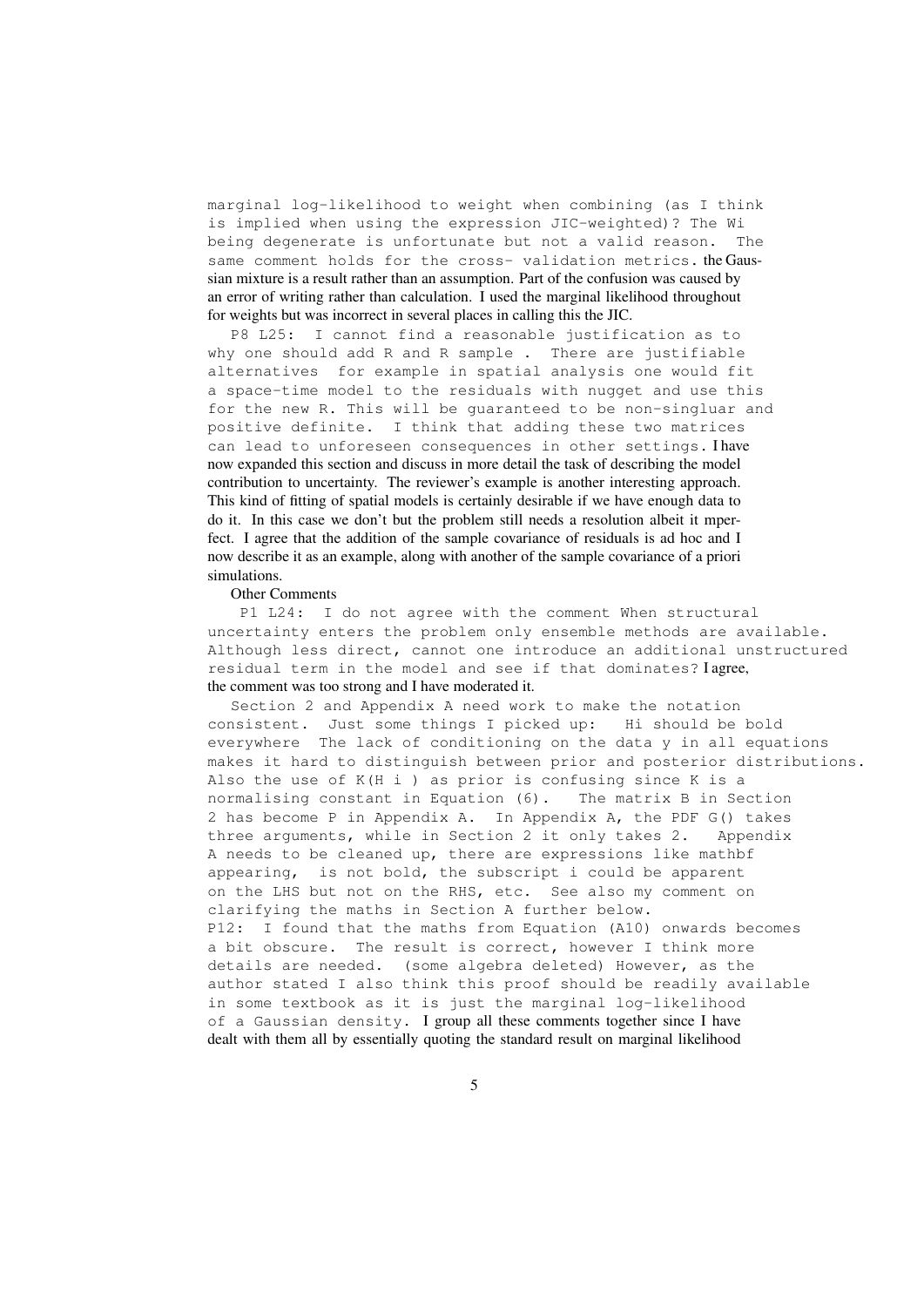marginal log-likelihood to weight when combining (as I think is implied when using the expression JIC-weighted)? The Wi being degenerate is unfortunate but not a valid reason. The same comment holds for the cross- validation metrics. the Gaussian mixture is a result rather than an assumption. Part of the confusion was caused by an error of writing rather than calculation. I used the marginal likelihood throughout for weights but was incorrect in several places in calling this the JIC.

P8 L25: I cannot find a reasonable justification as to why one should add R and R sample . There are justifiable alternatives for example in spatial analysis one would fit a space-time model to the residuals with nugget and use this for the new R. This will be guaranteed to be non-singluar and positive definite. I think that adding these two matrices can lead to unforeseen consequences in other settings. Ihave now expanded this section and discuss in more detail the task of describing the model contribution to uncertainty. The reviewer's example is another interesting approach. This kind of fitting of spatial models is certainly desirable if we have enough data to do it. In this case we don't but the problem still needs a resolution albeit it mperfect. I agree that the addition of the sample covariance of residuals is ad hoc and I now describe it as an example, along with another of the sample covariance of a priori simulations.

#### Other Comments

P1 L24: I do not agree with the comment When structural uncertainty enters the problem only ensemble methods are available. Although less direct, cannot one introduce an additional unstructured residual term in the model and see if that dominates? I agree, the comment was too strong and I have moderated it.

Section 2 and Appendix A need work to make the notation consistent. Just some things I picked up: Hi should be bold everywhere The lack of conditioning on the data y in all equations makes it hard to distinguish between prior and posterior distributions. Also the use of  $K(H i)$  as prior is confusing since K is a normalising constant in Equation (6). The matrix B in Section 2 has become P in Appendix A. In Appendix A, the PDF G() takes three arguments, while in Section 2 it only takes 2. Appendix A needs to be cleaned up, there are expressions like mathbf appearing, is not bold, the subscript i could be apparent on the LHS but not on the RHS, etc. See also my comment on clarifying the maths in Section A further below. P12: I found that the maths from Equation (A10) onwards becomes a bit obscure. The result is correct, however I think more details are needed. (some algebra deleted) However, as the author stated I also think this proof should be readily available in some textbook as it is just the marginal log-likelihood of a Gaussian density. I group all these comments together since I have dealt with them all by essentially quoting the standard result on marginal likelihood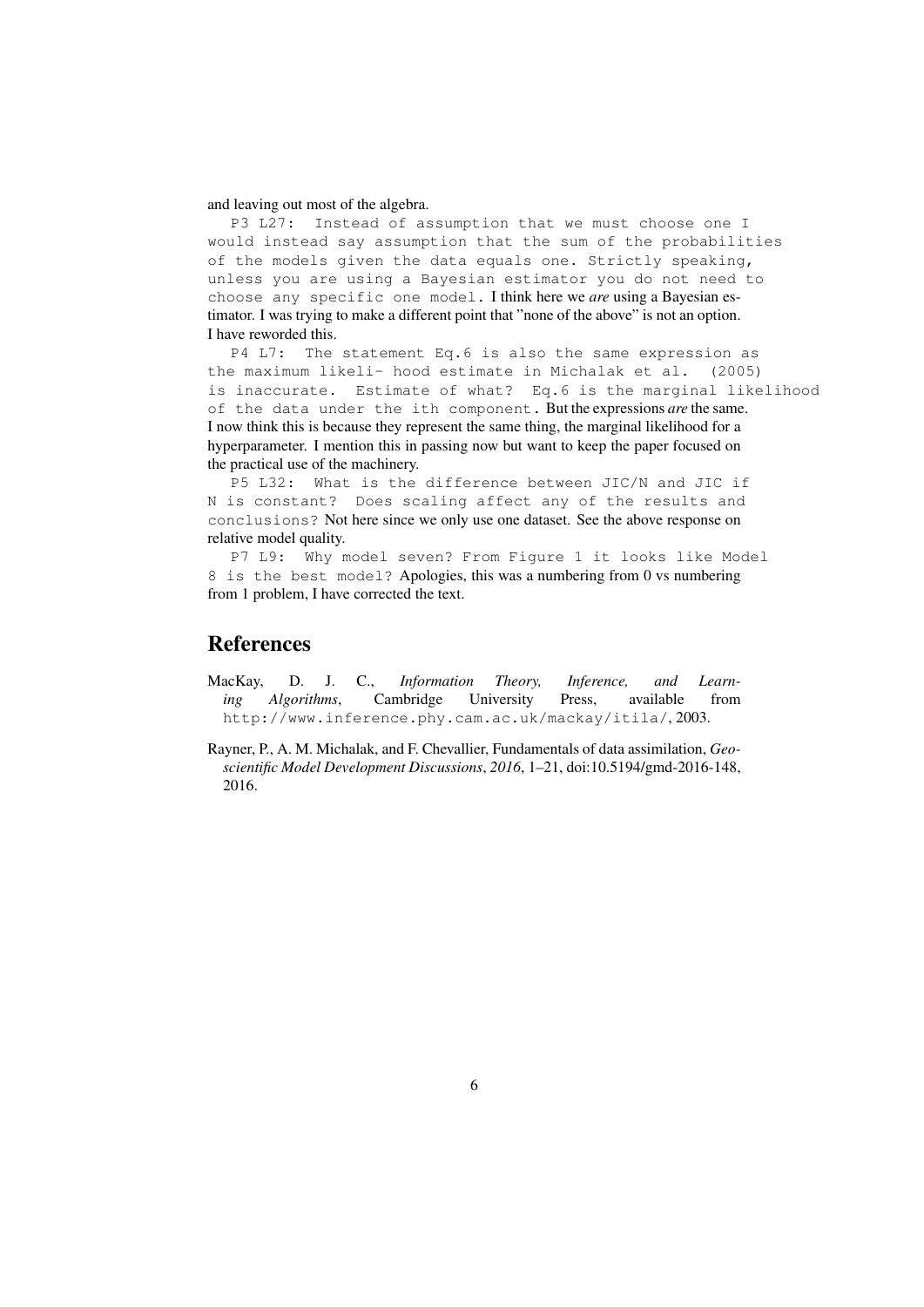#### and leaving out most of the algebra.

P3 L27: Instead of assumption that we must choose one I would instead say assumption that the sum of the probabilities of the models given the data equals one. Strictly speaking, unless you are using a Bayesian estimator you do not need to choose any specific one model. I think here we *are* using a Bayesian estimator. I was trying to make a different point that "none of the above" is not an option. I have reworded this.

P4 L7: The statement Eq.6 is also the same expression as the maximum likeli- hood estimate in Michalak et al. (2005) is inaccurate. Estimate of what? Eq.6 is the marginal likelihood of the data under the ith component. But the expressions *are* the same. I now think this is because they represent the same thing, the marginal likelihood for a hyperparameter. I mention this in passing now but want to keep the paper focused on the practical use of the machinery.

P5 L32: What is the difference between JIC/N and JIC if N is constant? Does scaling affect any of the results and conclusions? Not here since we only use one dataset. See the above response on relative model quality.

P7 L9: Why model seven? From Figure 1 it looks like Model 8 is the best model? Apologies, this was a numbering from 0 vs numbering from 1 problem, I have corrected the text.

# **References**

- MacKay, D. J. C., *Information Theory, Inference, and Learning Algorithms*, Cambridge University Press, available from http://www.inference.phy.cam.ac.uk/mackay/itila/, 2003.
- Rayner, P., A. M. Michalak, and F. Chevallier, Fundamentals of data assimilation, *Geoscientific Model Development Discussions*, *2016*, 1–21, doi:10.5194/gmd-2016-148, 2016.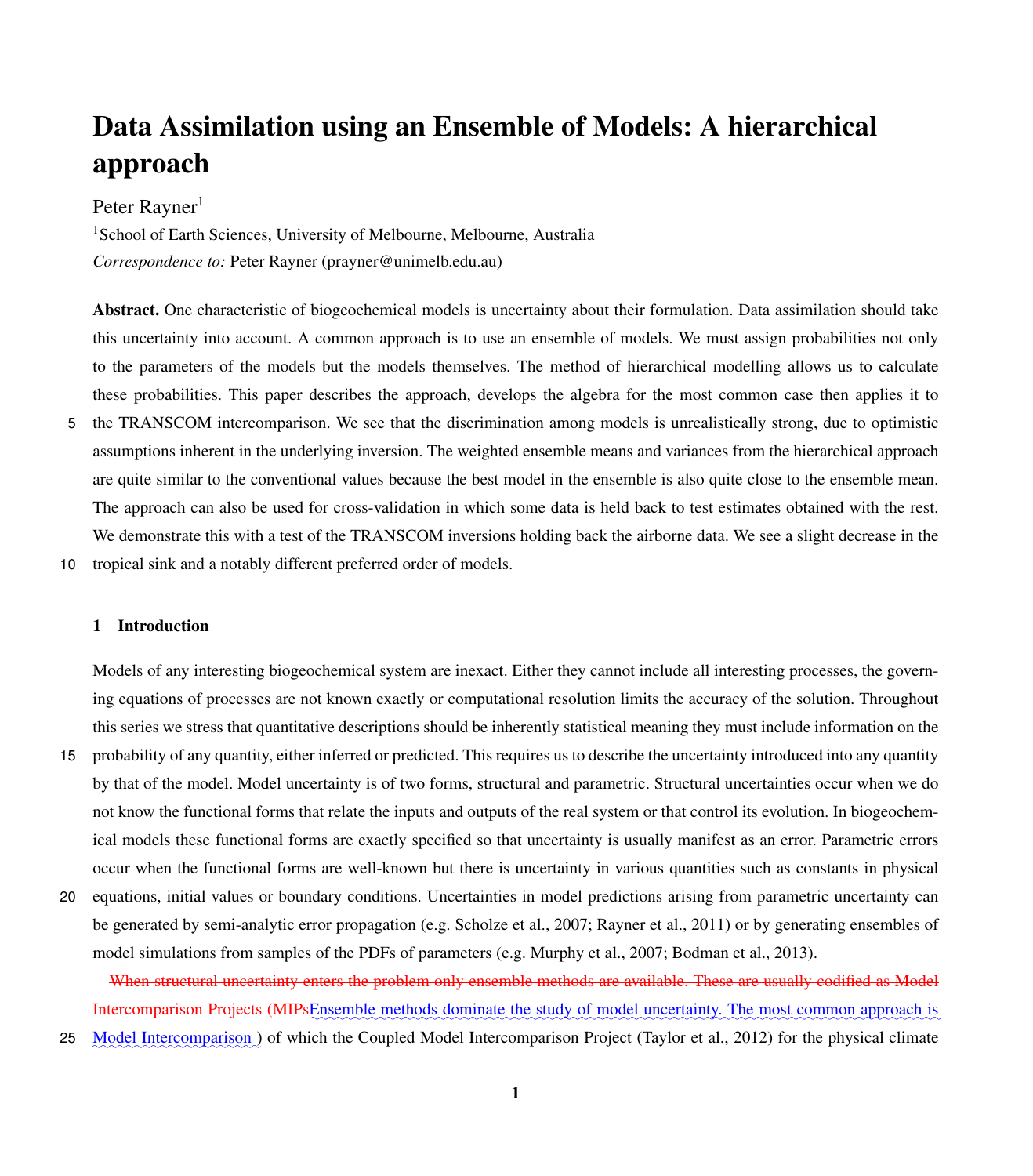# Data Assimilation using an Ensemble of Models: A hierarchical approach

## Peter Rayner<sup>1</sup>

<sup>1</sup>School of Earth Sciences, University of Melbourne, Melbourne, Australia *Correspondence to:* Peter Rayner (prayner@unimelb.edu.au)

Abstract. One characteristic of biogeochemical models is uncertainty about their formulation. Data assimilation should take this uncertainty into account. A common approach is to use an ensemble of models. We must assign probabilities not only to the parameters of the models but the models themselves. The method of hierarchical modelling allows us to calculate these probabilities. This paper describes the approach, develops the algebra for the most common case then applies it to 5 the TRANSCOM intercomparison. We see that the discrimination among models is unrealistically strong, due to optimistic assumptions inherent in the underlying inversion. The weighted ensemble means and variances from the hierarchical approach are quite similar to the conventional values because the best model in the ensemble is also quite close to the ensemble mean. The approach can also be used for cross-validation in which some data is held back to test estimates obtained with the rest. We demonstrate this with a test of the TRANSCOM inversions holding back the airborne data. We see a slight decrease in the

10 tropical sink and a notably different preferred order of models.

#### 1 Introduction

Models of any interesting biogeochemical system are inexact. Either they cannot include all interesting processes, the governing equations of processes are not known exactly or computational resolution limits the accuracy of the solution. Throughout this series we stress that quantitative descriptions should be inherently statistical meaning they must include information on the

- 15 probability of any quantity, either inferred or predicted. This requires us to describe the uncertainty introduced into any quantity by that of the model. Model uncertainty is of two forms, structural and parametric. Structural uncertainties occur when we do not know the functional forms that relate the inputs and outputs of the real system or that control its evolution. In biogeochemical models these functional forms are exactly specified so that uncertainty is usually manifest as an error. Parametric errors occur when the functional forms are well-known but there is uncertainty in various quantities such as constants in physical
- 20 equations, initial values or boundary conditions. Uncertainties in model predictions arising from parametric uncertainty can be generated by semi-analytic error propagation (e.g. [Scholze et al., 2007;](#page-23-0) [Rayner et al., 2011\)](#page-23-1) or by generating ensembles of model simulations from samples of the PDFs of parameters (e.g. [Murphy et al., 2007;](#page-23-2) [Bodman et al., 2013\)](#page-22-0).

When structural uncertainty enters the problem only ensemble methods are available. These are usually codified as Model Intercomparison Projects (MIPsEnsemble methods dominate the study of model uncertainty. The most common approach is 25 Model Intercomparison) of which the Coupled Model Intercomparison Project [\(Taylor et al., 2012\)](#page-24-0) for the physical climate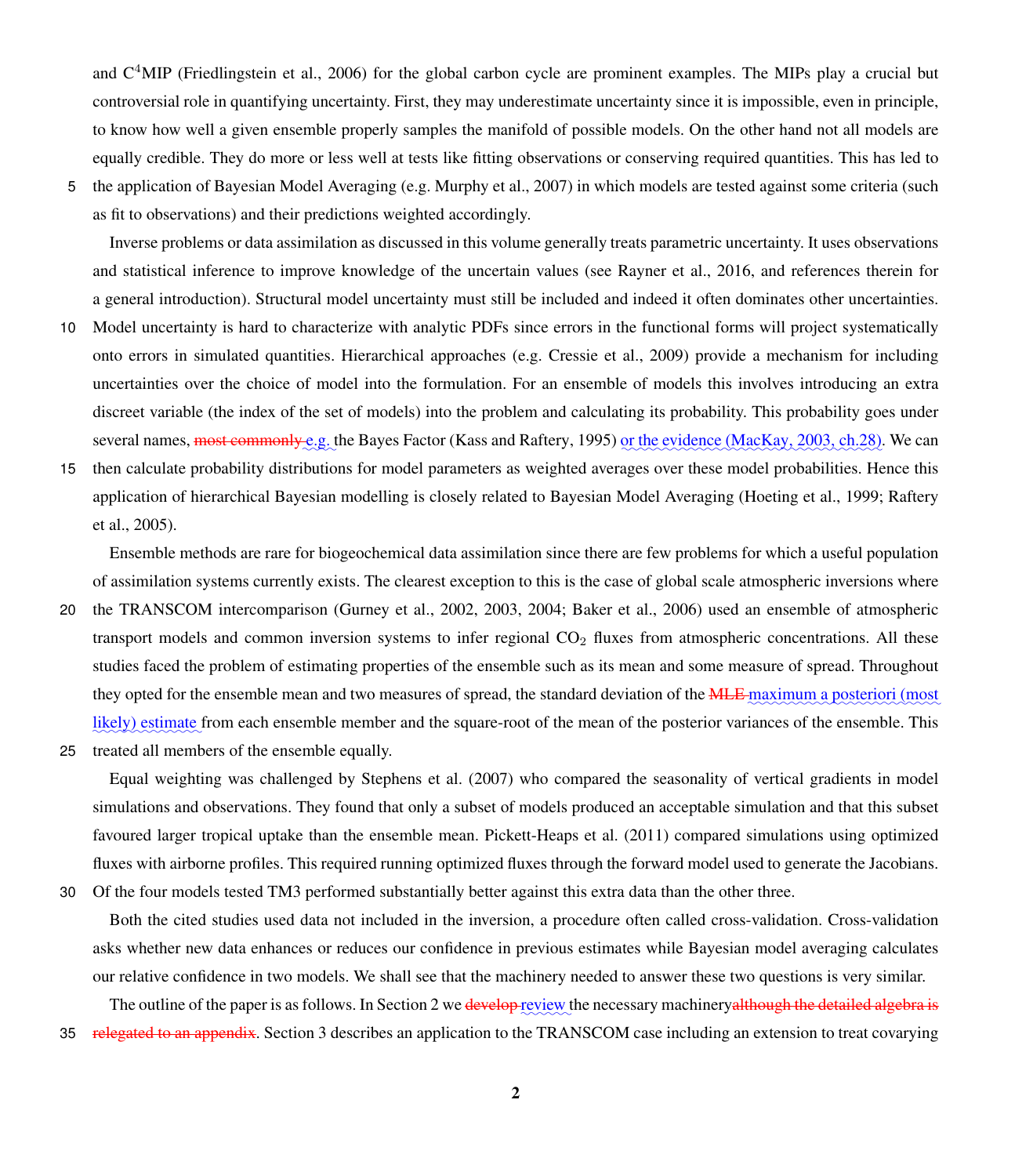and  $C<sup>4</sup>MIP$  [\(Friedlingstein et al., 2006\)](#page-22-1) for the global carbon cycle are prominent examples. The MIPs play a crucial but controversial role in quantifying uncertainty. First, they may underestimate uncertainty since it is impossible, even in principle, to know how well a given ensemble properly samples the manifold of possible models. On the other hand not all models are equally credible. They do more or less well at tests like fitting observations or conserving required quantities. This has led to

5 the application of Bayesian Model Averaging (e.g. [Murphy et al., 2007\)](#page-23-2) in which models are tested against some criteria (such as fit to observations) and their predictions weighted accordingly.

Inverse problems or data assimilation as discussed in this volume generally treats parametric uncertainty. It uses observations and statistical inference to improve knowledge of the uncertain values (see [Rayner et al., 2016,](#page-23-3) and references therein for a general introduction). Structural model uncertainty must still be included and indeed it often dominates other uncertainties.

- 10 Model uncertainty is hard to characterize with analytic PDFs since errors in the functional forms will project systematically onto errors in simulated quantities. Hierarchical approaches (e.g. [Cressie et al., 2009\)](#page-22-2) provide a mechanism for including uncertainties over the choice of model into the formulation. For an ensemble of models this involves introducing an extra discreet variable (the index of the set of models) into the problem and calculating its probability. This probability goes under several names, <del>most commonly e</del>.g. the Bayes Factor [\(Kass and Raftery, 1995\)](#page-23-4) <u>or the evidence [\(MacKay, 2003,](#page-23-5) ch.28)</u>. We can
- 15 then calculate probability distributions for model parameters as weighted averages over these model probabilities. Hence this [a](#page-23-7)pplication of hierarchical Bayesian modelling is closely related to Bayesian Model Averaging [\(Hoeting et al., 1999;](#page-23-6) [Raftery](#page-23-7) [et al., 2005\)](#page-23-7).

Ensemble methods are rare for biogeochemical data assimilation since there are few problems for which a useful population of assimilation systems currently exists. The clearest exception to this is the case of global scale atmospheric inversions where 20 the TRANSCOM intercomparison [\(Gurney et al., 2002,](#page-22-3) [2003,](#page-22-4) [2004;](#page-22-5) [Baker et al., 2006\)](#page-22-6) used an ensemble of atmospheric

- transport models and common inversion systems to infer regional  $CO<sub>2</sub>$  fluxes from atmospheric concentrations. All these studies faced the problem of estimating properties of the ensemble such as its mean and some measure of spread. Throughout they opted for the ensemble mean and two measures of spread, the standard deviation of the **MLE** maximum a posteriori (most likely) estimate from each ensemble member and the square-root of the mean of the posterior variances of the ensemble. This
- 25 treated all members of the ensemble equally.

Equal weighting was challenged by [Stephens et al.](#page-24-1) [\(2007\)](#page-24-1) who compared the seasonality of vertical gradients in model simulations and observations. They found that only a subset of models produced an acceptable simulation and that this subset favoured larger tropical uptake than the ensemble mean. [Pickett-Heaps et al.](#page-23-8) [\(2011\)](#page-23-8) compared simulations using optimized fluxes with airborne profiles. This required running optimized fluxes through the forward model used to generate the Jacobians. 30 Of the four models tested TM3 performed substantially better against this extra data than the other three.

Both the cited studies used data not included in the inversion, a procedure often called cross-validation. Cross-validation asks whether new data enhances or reduces our confidence in previous estimates while Bayesian model averaging calculates our relative confidence in two models. We shall see that the machinery needed to answer these two questions is very similar.

The outline of the paper is as follows. In Section [2](#page-8-0) we <del>develop review</del> the necessary machinery<del>although the detailed algebra is</del> 35 relegated to an appendix. Section [3](#page-11-0) describes an application to the TRANSCOM case including an extension to treat covarying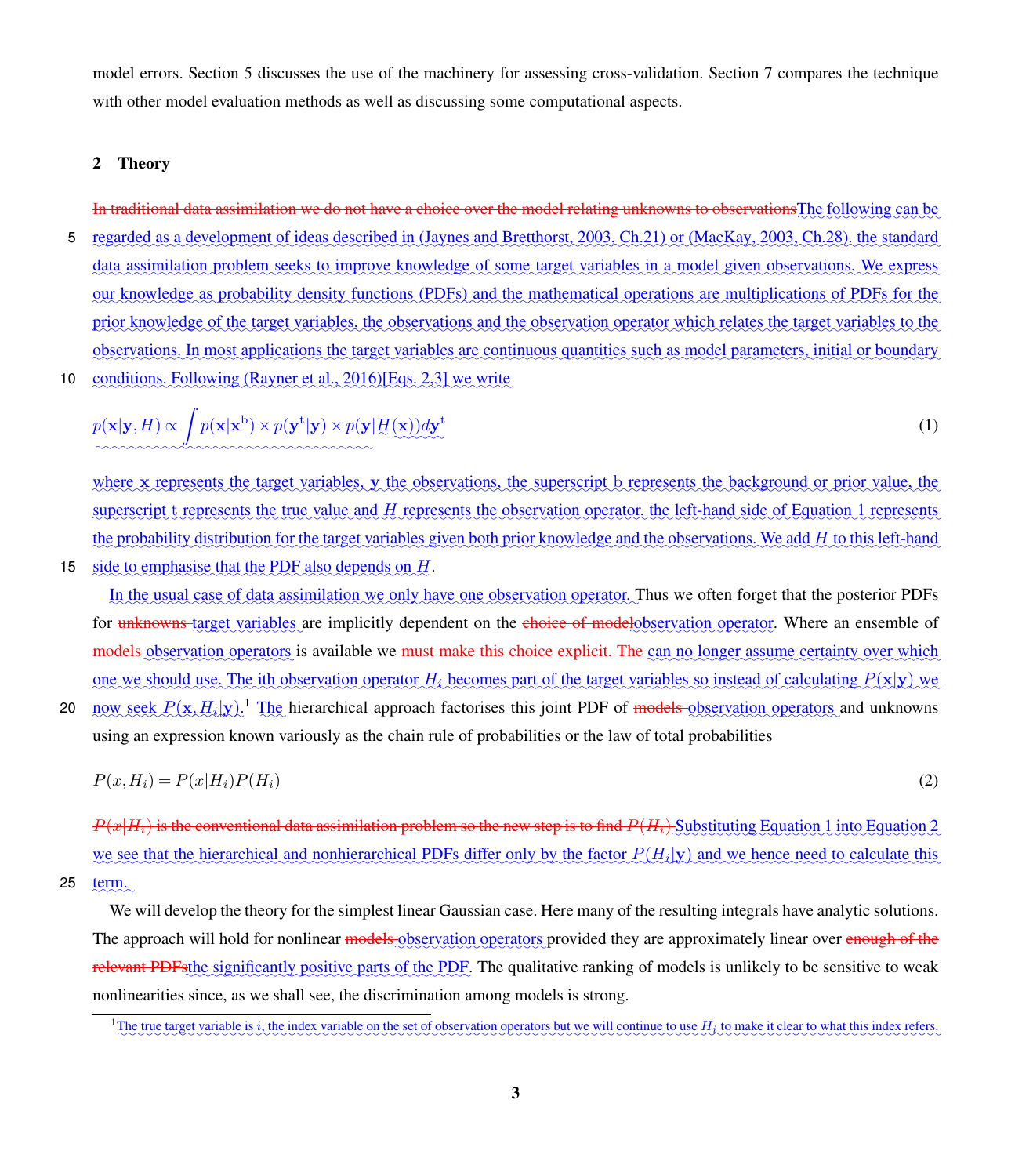model errors. Section [5](#page-15-0) discusses the use of the machinery for assessing cross-validation. Section [7](#page-18-0) compares the technique with other model evaluation methods as well as discussing some computational aspects.

#### <span id="page-8-0"></span>2 Theory

25

In traditional data assimilation we do not have a choice over the model relating unknowns to observationsThe following can be 5 regarded as a development of ideas described in [\(Jaynes and Bretthorst, 2003,](#page-23-9) Ch.21) or [\(MacKay, 2003,](#page-23-5) Ch.28), the standard data assimilation problem seeks to improve knowledge of some target variables in a model given observations. We express our knowledge as probability density functions (PDFs) and the mathematical operations are multiplications of PDFs for the prior knowledge of the target variables, the observations and the observation operator which relates the target variables to the observations. In most applications the target variables are continuous quantities such as model parameters, initial or boundary ✿✿✿✿✿✿✿✿✿ 10 conditions. Following [\(Rayner et al., 2016\)](#page-23-3)[Eqs. 2,3] we write

<span id="page-8-1"></span>
$$
p(\mathbf{x}|\mathbf{y}, H) \propto \int p(\mathbf{x}|\mathbf{x}^{\mathbf{b}}) \times p(\mathbf{y}^{\mathbf{t}}|\mathbf{y}) \times p(\mathbf{y}|\underline{H}(\mathbf{x})) d\mathbf{y}^{\mathbf{t}} \tag{1}
$$

where x represents the target variables, y the observations, the superscript b represents the background or prior value, the superscript t represents the true value and H represents the observation operator, the left-hand side of Equation [1](#page-8-1) represents the probability distribution for the target variables given both prior knowledge and the observations. We add H to this left-hand 15 side to emphasise that the PDF also depends on  $H$ .

In the usual case of data assimilation we only have one observation operator. Thus we often forget that the posterior PDFs for unknowns target variables are implicitly dependent on the choice of modelobservation operator. Where an ensemble of models observation operators is available we <del>must make this choice explicit. The</del> can no longer assume certainty over which one we should use. The ith observation operator  $H_i$  becomes part of the target variables so instead of calculating  $P(x|y)$  we

20 now seek  $P(\mathbf{x}, H_i | \mathbf{y})$ .<sup>[1](#page-8-2)</sup> The hierarchical approach factorises this joint PDF of models observation operators and unknowns using an expression known variously as the chain rule of probabilities or the law of total probabilities

$$
P(x, H_i) = P(x|H_i)P(H_i)
$$
\n<sup>(2)</sup>

<span id="page-8-3"></span> $P(x|H_i)$  is the conventional data assimilation problem so the new step is to find  $P(H_i)$ . Substituting Equation [1](#page-8-1) into Equation [2](#page-8-3) we see that the hierarchical and nonhierarchical PDFs differ only by the factor  $P(H_i|\mathbf{y})$  and we hence need to calculate this term.

We will develop the theory for the simplest linear Gaussian case. Here many of the resulting integrals have analytic solutions. The approach will hold for nonlinear models observation operators provided they are approximately linear over enough of the relevant PDFsthe significantly positive parts of the PDF. The qualitative ranking of models is unlikely to be sensitive to weak nonlinearities since, as we shall see, the discrimination among models is strong.

<span id="page-8-2"></span><sup>&</sup>lt;sup>1</sup>The true target variable is i, the index variable on the set of observation operators but we will continue to use  $H_i$  to make it clear to what this index refers.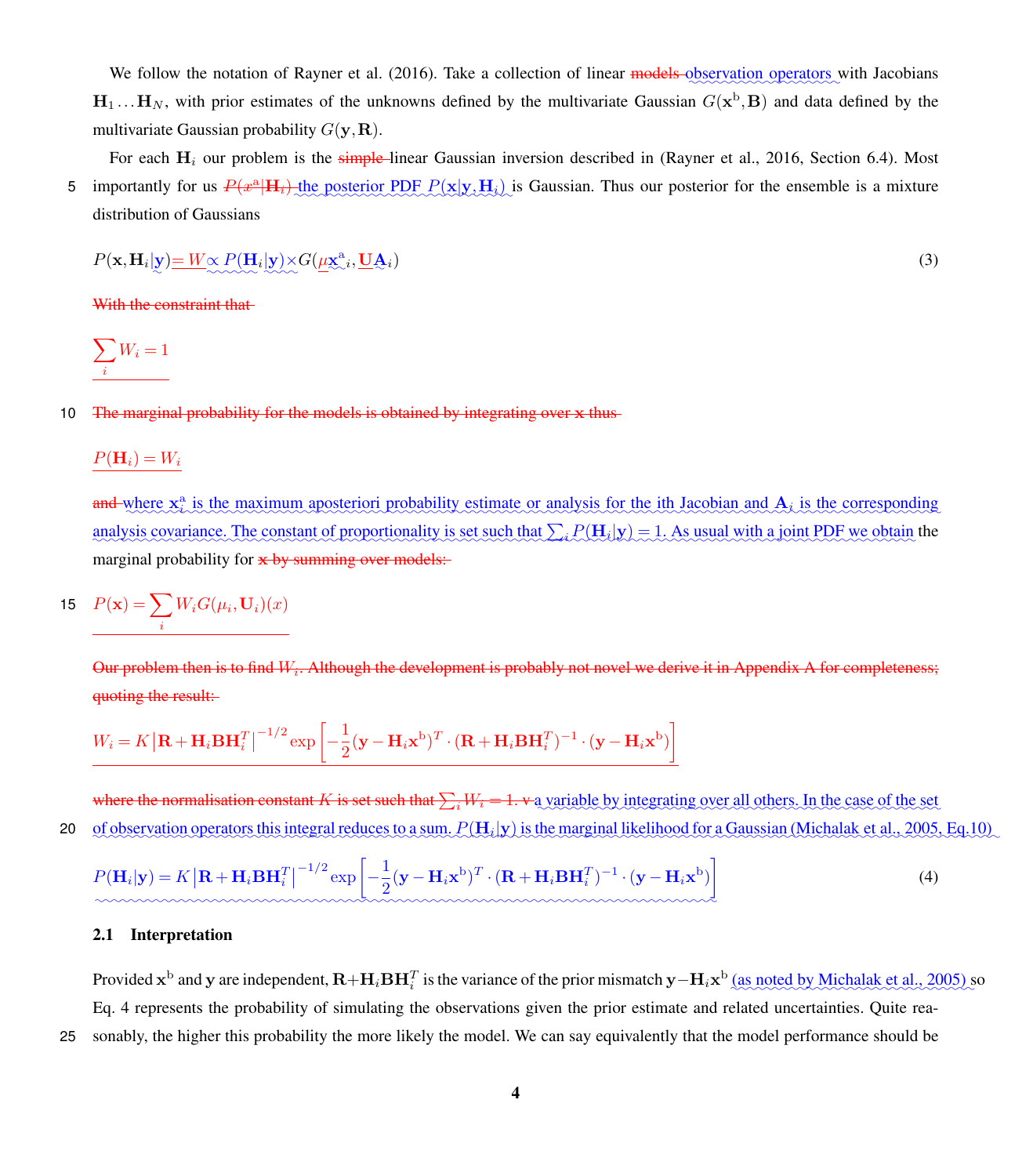We follow the notation of [Rayner et al.](#page-23-3) [\(2016\)](#page-23-3). Take a collection of linear models observation operators with Jacobians  $H_1...H_N$ , with prior estimates of the unknowns defined by the multivariate Gaussian  $G(x^b, B)$  and data defined by the multivariate Gaussian probability  $G(\mathbf{v},\mathbf{R})$ .

For each  $H_i$  our problem is the simple-linear Gaussian inversion described in [\(Rayner et al., 2016,](#page-23-3) Section 6.4). Most 5 importantly for us  $P(x^a|H_i)$  the posterior PDF  $P(x|y,H_i)$  is Gaussian. Thus our posterior for the ensemble is a mixture distribution of Gaussians

$$
P(\mathbf{x}, \mathbf{H}_i | \mathbf{y}) = W \propto P(\mathbf{H}_i | \mathbf{y}) \times G(\underline{\mu} \mathbf{x}_{\infty}^a, \underline{\mathbf{U}} \underline{\mathbf{A}}_i)
$$
(3)

With the constraint that-

$$
\sum_i W_i = 1
$$

#### 10 The marginal probability for the models is obtained by integrating over x thus

 $P(\mathbf{H}_i) = W_i$ 

and where  $x_i^a$  is the maximum aposteriori probability estimate or analysis for the ith Jacobian and  $A_i$  is the corresponding analysis covariance. The constant of proportionality is set such that  $\sum_i P(\mathbf{H}_i | \mathbf{y}) = 1$ . As usual with a joint PDF we obtain the marginal probability for  $x$  by summing over models:

$$
15 \quad P(\mathbf{x}) = \sum_{i} W_i G(\mu_i, \mathbf{U}_i)(x)
$$

Our problem then is to find  $W_i$ . Although the development is probably not novel we derive it in Appendix A for completeness; quoting the result:

<span id="page-9-0"></span>
$$
W_i = K \left| \mathbf{R} + \mathbf{H}_i \mathbf{B} \mathbf{H}_i^T \right|^{-1/2} \exp \left[ -\frac{1}{2} (\mathbf{y} - \mathbf{H}_i \mathbf{x}^{\mathrm{b}})^T \cdot (\mathbf{R} + \mathbf{H}_i \mathbf{B} \mathbf{H}_i^T)^{-1} \cdot (\mathbf{y} - \mathbf{H}_i \mathbf{x}^{\mathrm{b}}) \right]
$$

where the normalisation constant K is set such that  $\sum_i W_i = 1$ . v a variable by integrating over all others. In the case of the set 20 of observation operators this integral reduces to a sum.  $P(\mathbf{H}_i|\mathbf{y})$  is the marginal likelihood for a Gaussian [\(Michalak et al., 2005,](#page-23-10) Eq.10)

$$
P(\mathbf{H}_i|\mathbf{y}) = K |\mathbf{R} + \mathbf{H}_i \mathbf{B} \mathbf{H}_i^T|^{-1/2} \exp\left[-\frac{1}{2}(\mathbf{y} - \mathbf{H}_i \mathbf{x}^b)^T \cdot (\mathbf{R} + \mathbf{H}_i \mathbf{B} \mathbf{H}_i^T)^{-1} \cdot (\mathbf{y} - \mathbf{H}_i \mathbf{x}^b)\right]
$$
(4)

#### <span id="page-9-1"></span>2.1 Interpretation

Provided  $x^b$  and y are independent,  $R + H_i B H_i^T$  is the variance of the prior mismatch y– $H_i x^b$  (as noted by [Michalak et al., 2005\)](#page-23-10) so Eq. [4](#page-9-0) represents the probability of simulating the observations given the prior estimate and related uncertainties. Quite rea-25 sonably, the higher this probability the more likely the model. We can say equivalently that the model performance should be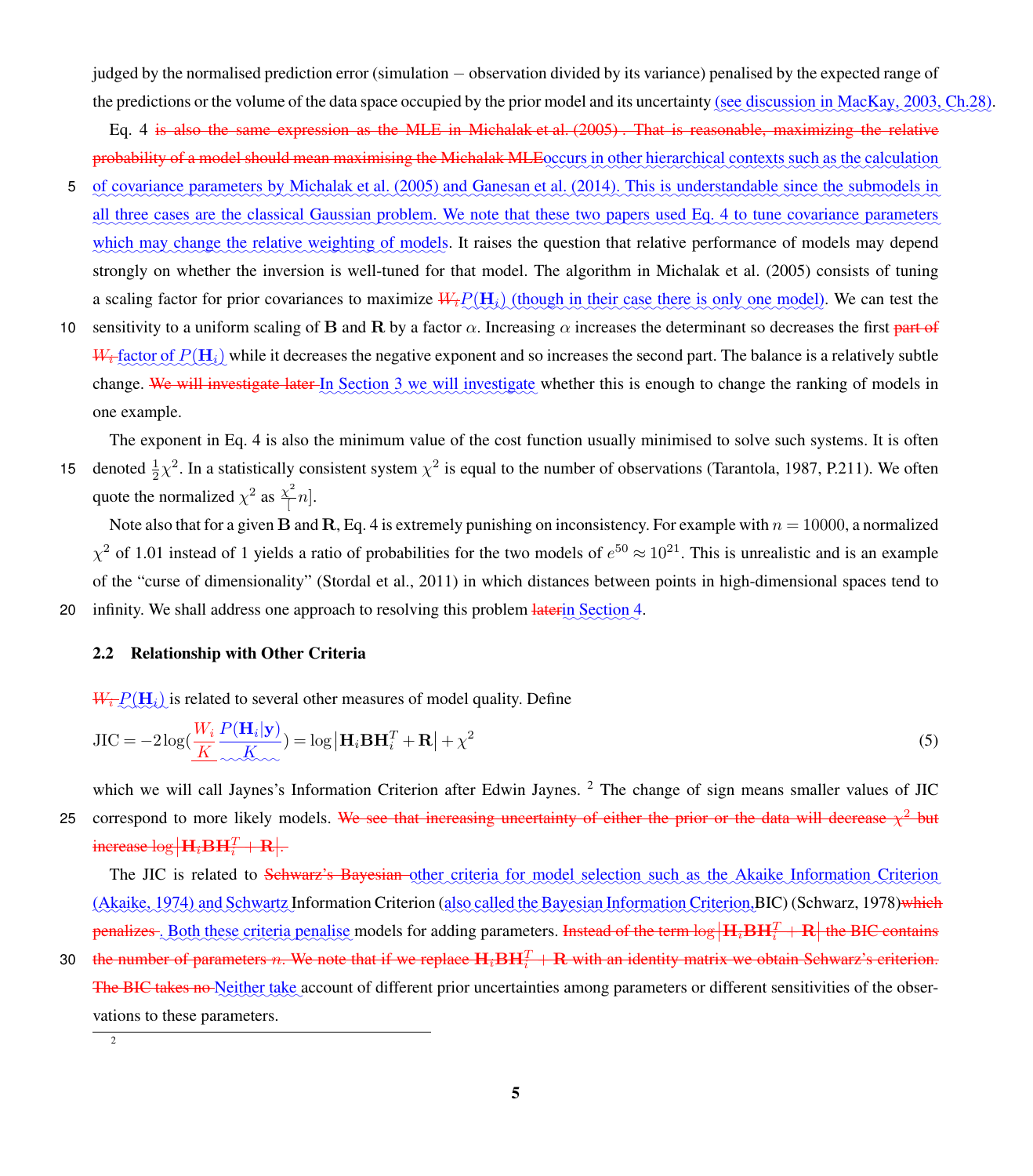judged by the normalised prediction error (simulation − observation divided by its variance) penalised by the expected range of the predictions or the volume of the data space occupied by the prior model and its uncertainty (see discussion in [MacKay, 2003,](#page-23-5) Ch.28).

Eq. [4](#page-9-0) is also the same expression as the MLE in [Michalak et al.](#page-23-10) [\(2005\)](#page-23-10) . That is reasonable, maximizing the relative probability of a model should mean maximising the Michalak MLEoccurs in other hierarchical contexts such as the calculation

- 5 of covariance parameters by [Michalak et al.](#page-23-10) [\(2005\)](#page-23-10) and [Ganesan et al.](#page-22-7) [\(2014\)](#page-22-7). This is understandable since the submodels in all three cases are the classical Gaussian problem. We note that these two papers used Eq. [4](#page-9-0) to tune covariance parameters which may change the relative weighting of models. It raises the question that relative performance of models may depend strongly on whether the inversion is well-tuned for that model. The algorithm in [Michalak et al.](#page-23-10) [\(2005\)](#page-23-10) consists of tuning a scaling factor for prior covariances to maximize  $W_t P(H_t)$  (though in their case there is only one model). We can test the
- 10 sensitivity to a uniform scaling of B and R by a factor  $\alpha$ . Increasing  $\alpha$  increases the determinant so decreases the first part of  $W_t$  factor of  $P(\mathbf{H}_i)$  while it decreases the negative exponent and so increases the second part. The balance is a relatively subtle change. We will investigate later In Section [3](#page-11-0) we will investigate whether this is enough to change the ranking of models in one example.

The exponent in Eq. [4](#page-9-0) is also the minimum value of the cost function usually minimised to solve such systems. It is often 15 denoted  $\frac{1}{2}\chi^2$ . In a statistically consistent system  $\chi^2$  is equal to the number of observations [\(Tarantola, 1987,](#page-24-2) P.211). We often quote the normalized  $\chi^2$  as  $\frac{\chi^2}{4}$  $\left[ -n\right] .$ 

Note also that for a given B and R, Eq. [4](#page-9-0) is extremely punishing on inconsistency. For example with  $n = 10000$ , a normalized  $\chi^2$  of 1.01 instead of 1 yields a ratio of probabilities for the two models of  $e^{50} \approx 10^{21}$ . This is unrealistic and is an example of the "curse of dimensionality" [\(Stordal et al., 2011\)](#page-24-3) in which distances between points in high-dimensional spaces tend to 20 infinity. We shall address one approach to resolving this problem laterin Section [4.](#page-13-0)

#### 2.2 Relationship with Other Criteria

 $W_t \mathcal{P}(\mathbf{H}_i)$  is related to several other measures of model quality. Define

$$
JIC = -2\log(\frac{W_i}{K} \frac{P(\mathbf{H}_i|\mathbf{y})}{\chi_{\text{max}}^K}) = \log|\mathbf{H}_i \mathbf{B} \mathbf{H}_i^T + \mathbf{R}| + \chi^2
$$
\n(5)

which we will call Jaynes's Information Criterion after Edwin Jaynes.<sup>[2](#page-10-0)</sup> The change of sign means smaller values of JIC 25 correspond to more likely models. We see that increasing uncertainty of either the prior or the data will decrease  $\chi^2$  but increase  $\log \left| \mathbf{H}_i \mathbf{B} \mathbf{H}_i^T + \mathbf{R} \right|$ .

The JIC is related to Schwarz's Bayesian other criteria for model selection such as the Akaike Information Criterion [\(Akaike, 1974\)](#page-22-8) and Schwartz Information Criterion (also called the Bayesian Information Criterion,BIC) [\(Schwarz, 1978\)](#page-23-11)<del>which</del> penalizes. Both these criteria penalise models for adding parameters. Instead of the term  $\log|\mathbf{H}_i\mathbf{B}\mathbf{H}_i^T + \mathbf{R}|$  the BIC contains

30 – the number of parameters n. We note that if we replace  $H_i$ BH $_i^T + R$  with an identity matrix we obtain Schwarz's criterion. The BIC takes no Neither take account of different prior uncertainties among parameters or different sensitivities of the observations to these parameters.

<span id="page-10-0"></span>2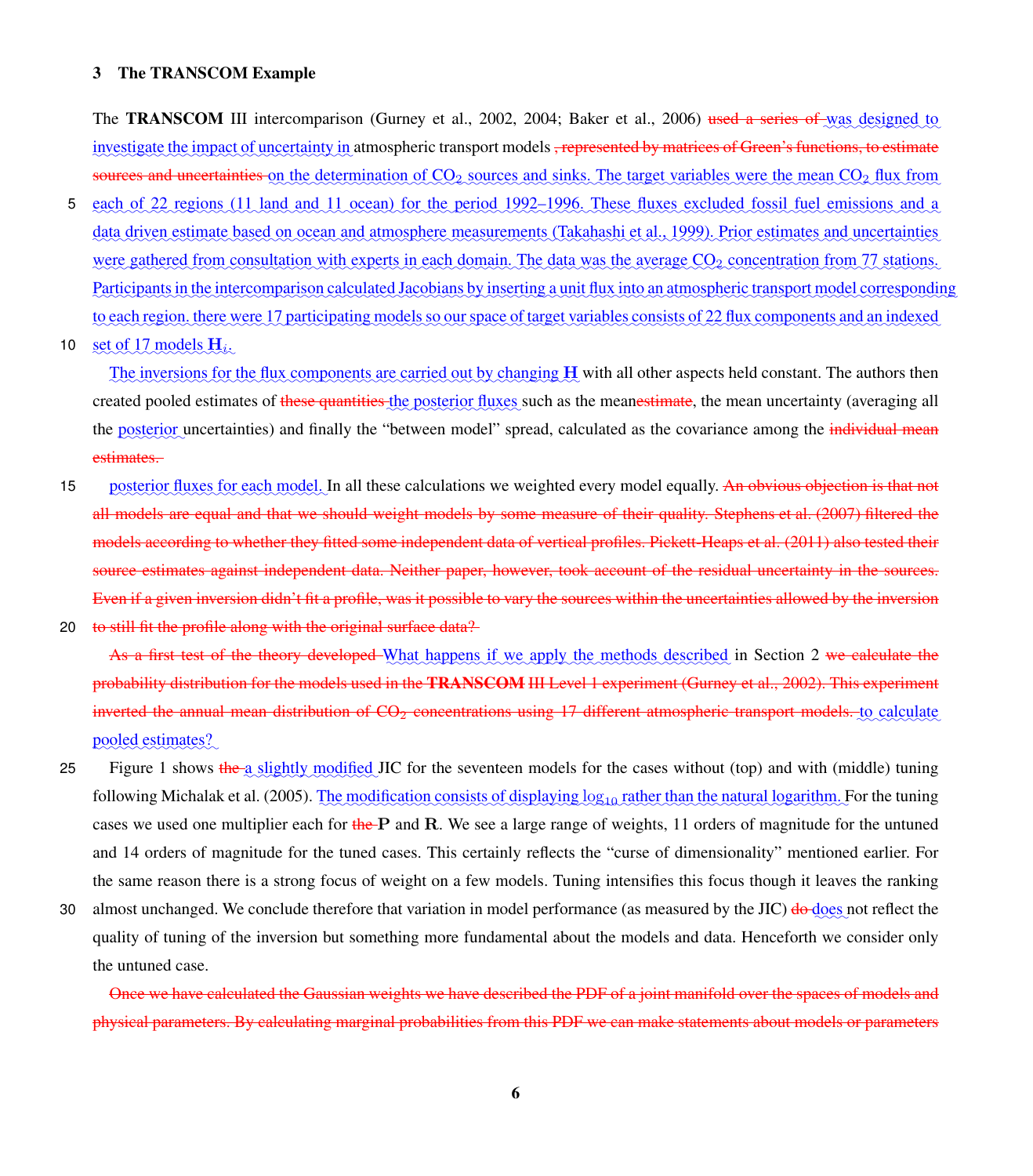#### <span id="page-11-0"></span>3 The TRANSCOM Example

The **TRANSCOM** III intercomparison [\(Gurney et al., 2002,](#page-22-3) [2004;](#page-22-5) [Baker et al., 2006\)](#page-22-6) used a series of was designed to investigate the impact of uncertainty in atmospheric transport models <del>, represented by matrices of Green's functions, to estimate</del> sources and uncertainties on the determination of CO<sub>2</sub> sources and sinks. The target variables were the mean CO<sub>2</sub> flux from

- 5 each of 22 regions (11 land and 11 ocean) for the period 1992–1996. These fluxes excluded fossil fuel emissions and a data driven estimate based on ocean and atmosphere measurements [\(Takahashi et al., 1999\)](#page-24-4). Prior estimates and uncertainties were gathered from consultation with experts in each domain. The data was the average CO<sub>2</sub> concentration from 77 stations. Participants in the intercomparison calculated Jacobians by inserting a unit flux into an atmospheric transport model corresponding to each region, there were 17 participating models so our space of target variables consists of 22 flux components and an indexed
- 10  $\sec \theta$  is 17 models  $H_i$ .

The inversions for the flux components are carried out by changing H with all other aspects held constant. The authors then created pooled estimates of these quantities the posterior fluxes such as the meanestimate, the mean uncertainty (averaging all the posterior uncertainties) and finally the "between model" spread, calculated as the covariance among the individual mean estimates.

15 posterior fluxes for each model. In all these calculations we weighted every model equally. An obvious objection is that not all models are equal and that we should weight models by some measure of their quality. [Stephens et al.](#page-24-1) [\(2007\)](#page-24-1) filtered the models according to whether they fitted some independent data of vertical profiles. [Pickett-Heaps et al.](#page-23-8) [\(2011\)](#page-23-8) also tested their source estimates against independent data. Neither paper, however, took account of the residual uncertainty in the sources. Even if a given inversion didn't fit a profile, was it possible to vary the sources within the uncertainties allowed by the inversion 20 to still fit the profile along with the original surface data?

As a first test of the theory developed What happens if we apply the methods described in Section [2](#page-8-0) we calculate the probability distribution for the models used in the TRANSCOM III Level 1 experiment [\(Gurney et al., 2002\)](#page-22-3). This experiment inverted the annual mean distribution of CO<sub>2</sub> concentrations using 17 different atmospheric transport models. to calculate pooled estimates?

- 25 Figure [1](#page-12-0) shows the a slightly modified JIC for the seventeen models for the cases without (top) and with (middle) tuning following [Michalak et al.](#page-23-10) [\(2005\)](#page-23-10). The modification consists of displaying  $\log_{10}$  rather than the natural logarithm. For the tuning cases we used one multiplier each for  $\theta$  the P and R. We see a large range of weights, 11 orders of magnitude for the untuned and 14 orders of magnitude for the tuned cases. This certainly reflects the "curse of dimensionality" mentioned earlier. For the same reason there is a strong focus of weight on a few models. Tuning intensifies this focus though it leaves the ranking
- 30 almost unchanged. We conclude therefore that variation in model performance (as measured by the JIC)  $\frac{d\theta}{d\omega}$ es not reflect the quality of tuning of the inversion but something more fundamental about the models and data. Henceforth we consider only the untuned case.

Once we have calculated the Gaussian weights we have described the PDF of a joint manifold over the spaces of models and physical parameters. By calculating marginal probabilities from this PDF we can make statements about models or parameters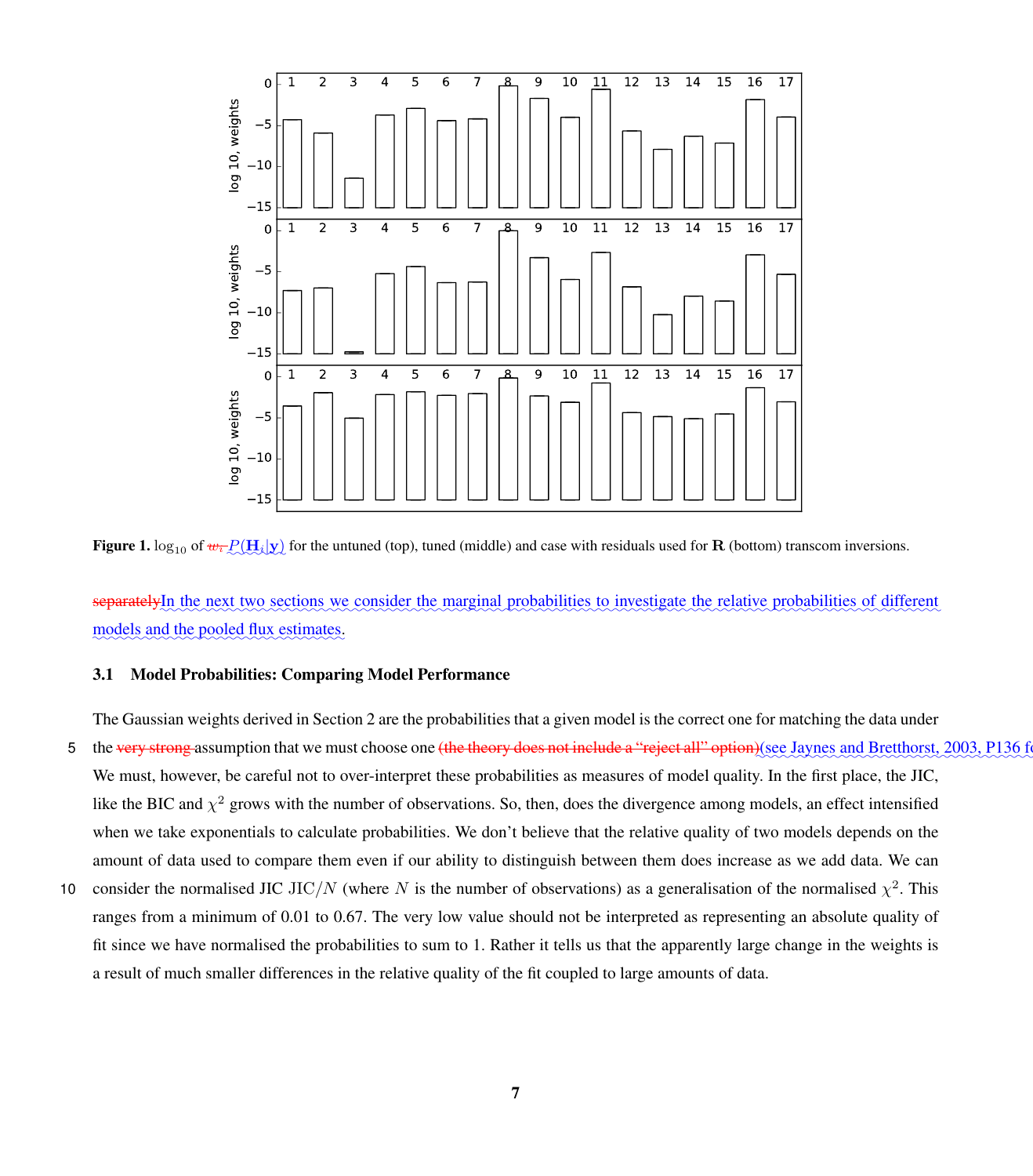<span id="page-12-0"></span>

**Figure 1.**  $\log_{10}$  of  $w_t P(H_t|\mathbf{y})$  for the untuned (top), tuned (middle) and case with residuals used for **R** (bottom) transcom inversions.

separatelyIn the next two sections we consider the marginal probabilities to investigate the relative probabilities of different models and the pooled flux estimates.

#### <span id="page-12-1"></span>3.1 Model Probabilities: Comparing Model Performance

The Gaussian weights derived in Section [2](#page-8-0) are the probabilities that a given model is the correct one for matching the data under

- 5 the very strong assumption that we must choose one (the theory does not include a "reject all" option)(see [Jaynes and Bretthorst, 2003,](#page-23-9) P136 We must, however, be careful not to over-interpret these probabilities as measures of model quality. In the first place, the JIC, like the BIC and  $\chi^2$  grows with the number of observations. So, then, does the divergence among models, an effect intensified when we take exponentials to calculate probabilities. We don't believe that the relative quality of two models depends on the amount of data used to compare them even if our ability to distinguish between them does increase as we add data. We can
- 10 consider the normalised JIC JIC/N (where N is the number of observations) as a generalisation of the normalised  $\chi^2$ . This ranges from a minimum of 0.01 to 0.67. The very low value should not be interpreted as representing an absolute quality of fit since we have normalised the probabilities to sum to 1. Rather it tells us that the apparently large change in the weights is a result of much smaller differences in the relative quality of the fit coupled to large amounts of data.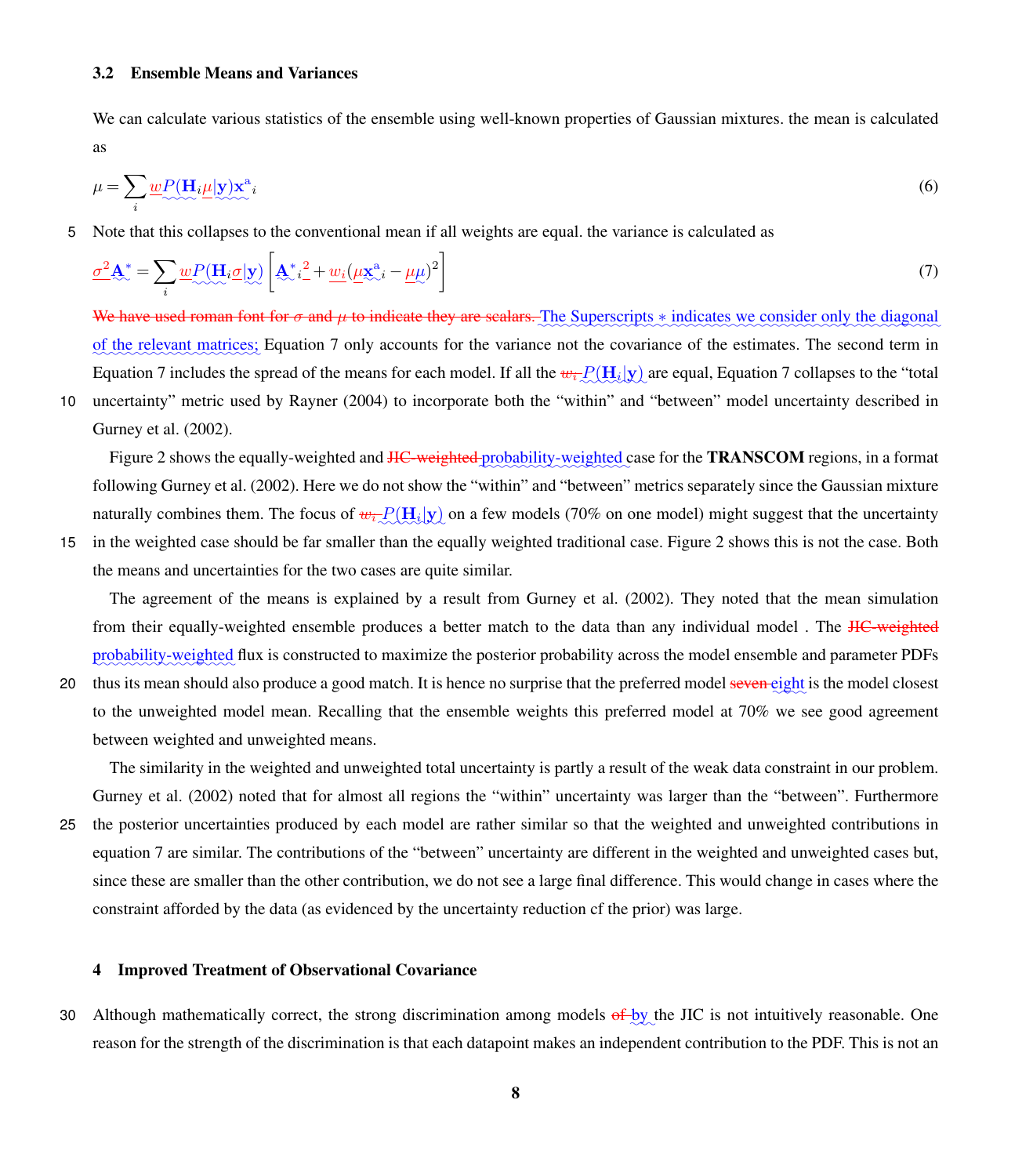#### 3.2 Ensemble Means and Variances

We can calculate various statistics of the ensemble using well-known properties of Gaussian mixtures. the mean is calculated as

<span id="page-13-1"></span>
$$
\mu = \sum_{i} \underbrace{wP(\mathbf{H}_{i}\mu|\mathbf{y})\mathbf{x}^{a}}_{i} \tag{6}
$$

5 Note that this collapses to the conventional mean if all weights are equal. the variance is calculated as

$$
\underline{\sigma^2 \mathbf{A}^*} = \sum_{i} \underline{w} P(\mathbf{H}_i \underline{\sigma} | \mathbf{y}) \left[ \underline{\mathbf{A}}^*_{i-}^2 + \underline{w}_i (\underline{\mu \mathbf{x}}^{\mathbf{a}}_{i-} - \underline{\mu \mu})^2 \right]
$$
(7)

We have used roman font for  $\sigma$  and  $\mu$  to indicate they are scalars. The Superscripts  $*$  indicates we consider only the diagonal of the relevant matrices; Equation [7](#page-13-1) only accounts for the variance not the covariance of the estimates. The second term in Equation [7](#page-13-1) includes the spread of the means for each model. If all the  $w_t Q(\mathbf{H}_t | \mathbf{y})$  are equal, Equation 7 collapses to the "total

10 uncertainty" metric used by [Rayner](#page-23-12) [\(2004\)](#page-23-12) to incorporate both the "within" and "between" model uncertainty described in [Gurney et al.](#page-22-3) [\(2002\)](#page-22-3).

Figure [2](#page-14-0) shows the equally-weighted and <del>JIC-weighted pr</del>obability-weighted case for the **TRANSCOM** regions, in a format following [Gurney et al.](#page-22-3) [\(2002\)](#page-22-3). Here we do not show the "within" and "between" metrics separately since the Gaussian mixture naturally combines them. The focus of  $w_t$   $P(H_t|y)$  on a few models (70% on one model) might suggest that the uncertainty

15 in the weighted case should be far smaller than the equally weighted traditional case. Figure [2](#page-14-0) shows this is not the case. Both the means and uncertainties for the two cases are quite similar.

The agreement of the means is explained by a result from [Gurney et al.](#page-22-3) [\(2002\)](#page-22-3). They noted that the mean simulation from their equally-weighted ensemble produces a better match to the data than any individual model. The HC-weighted probability-weighted flux is constructed to maximize the posterior probability across the model ensemble and parameter PDFs

20 thus its mean should also produce a good match. It is hence no surprise that the preferred model seven eight is the model closest to the unweighted model mean. Recalling that the ensemble weights this preferred model at 70% we see good agreement between weighted and unweighted means.

The similarity in the weighted and unweighted total uncertainty is partly a result of the weak data constraint in our problem. [Gurney et al.](#page-22-3) [\(2002\)](#page-22-3) noted that for almost all regions the "within" uncertainty was larger than the "between". Furthermore 25 the posterior uncertainties produced by each model are rather similar so that the weighted and unweighted contributions in equation [7](#page-13-1) are similar. The contributions of the "between" uncertainty are different in the weighted and unweighted cases but,

since these are smaller than the other contribution, we do not see a large final difference. This would change in cases where the constraint afforded by the data (as evidenced by the uncertainty reduction cf the prior) was large.

#### <span id="page-13-0"></span>4 Improved Treatment of Observational Covariance

30 Although mathematically correct, the strong discrimination among models of by the JIC is not intuitively reasonable. One reason for the strength of the discrimination is that each datapoint makes an independent contribution to the PDF. This is not an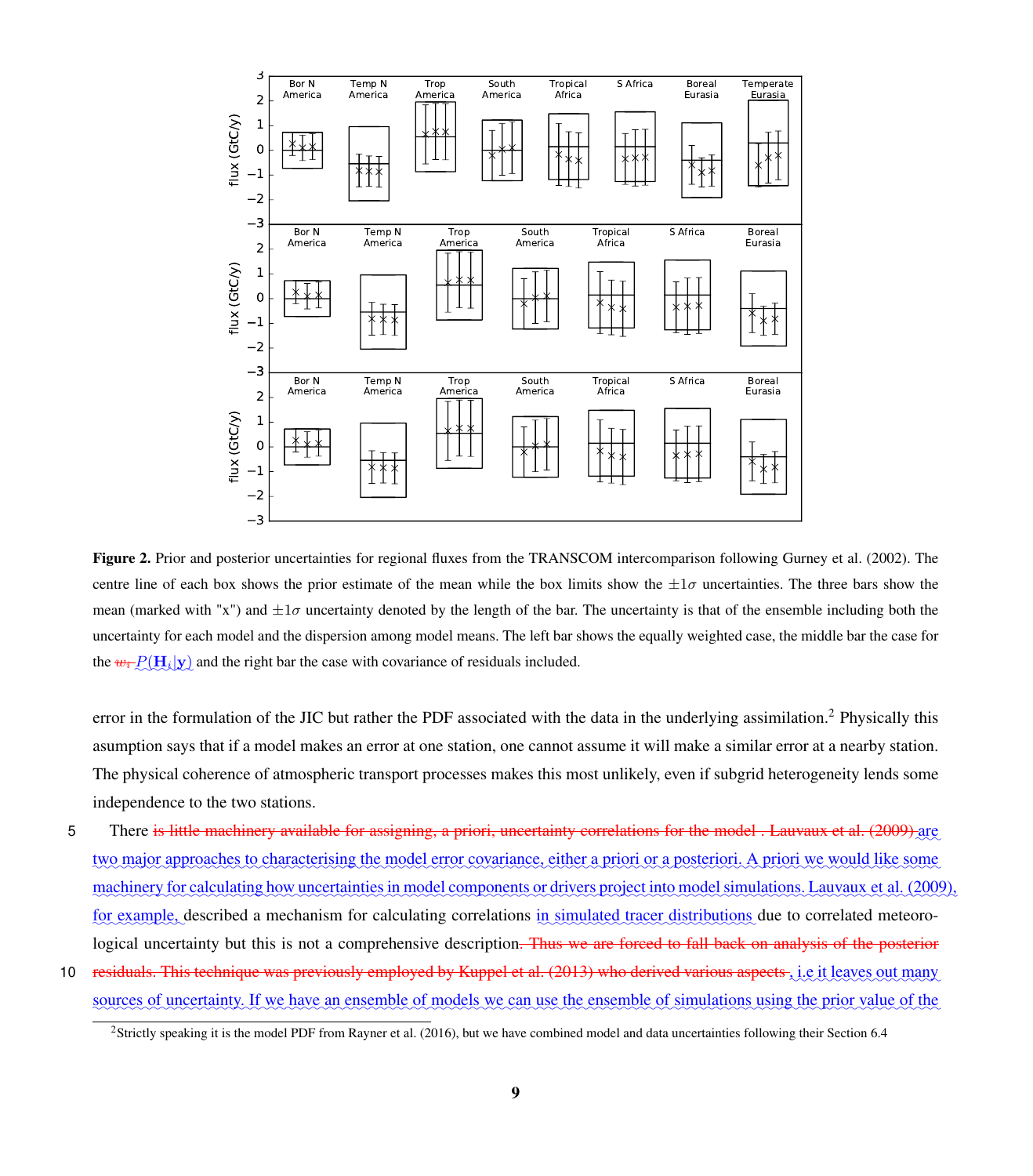<span id="page-14-0"></span>

Figure 2. Prior and posterior uncertainties for regional fluxes from the TRANSCOM intercomparison following [Gurney et al.](#page-22-3) [\(2002\)](#page-22-3). The centre line of each box shows the prior estimate of the mean while the box limits show the  $\pm 1\sigma$  uncertainties. The three bars show the mean (marked with "x") and  $\pm 1\sigma$  uncertainty denoted by the length of the bar. The uncertainty is that of the ensemble including both the uncertainty for each model and the dispersion among model means. The left bar shows the equally weighted case, the middle bar the case for the  $w_i \mathcal{D}(\mathbf{H}_i|\mathbf{y})$  and the right bar the case with covariance of residuals included.

error in the formulation of the JIC but rather the PDF associated with the data in the underlying assimilation.<sup>[2](#page-14-1)</sup> Physically this asumption says that if a model makes an error at one station, one cannot assume it will make a similar error at a nearby station. The physical coherence of atmospheric transport processes makes this most unlikely, even if subgrid heterogeneity lends some independence to the two stations.

5 There is little machinery available for assigning, a priori, uncertainty correlations for the model. [Lauvaux et al.](#page-23-13) [\(2009\)](#page-23-13) are two major approaches to characterising the model error covariance, either a priori or a posteriori. A priori we would like some machinery for calculating how uncertainties in model components or drivers project into model simulations. [Lauvaux et al.](#page-23-13) [\(2009\)](#page-23-13), for example, described a mechanism for calculating correlations in simulated tracer distributions due to correlated meteorological uncertainty but this is not a comprehensive description. Thus we are forced to fall back on analysis of the posterior

10 aresiduals. This technique was previously employed by [Kuppel et al.](#page-23-14) [\(2013\)](#page-23-14) who derived various aspects, i.e it leaves out many sources of uncertainty. If we have an ensemble of models we can use the ensemble of simulations using the prior value of the

<span id="page-14-1"></span><sup>&</sup>lt;sup>2</sup>Strictly speaking it is the model PDF from [Rayner et al.](#page-23-3) [\(2016\)](#page-23-3), but we have combined model and data uncertainties following their Section 6.4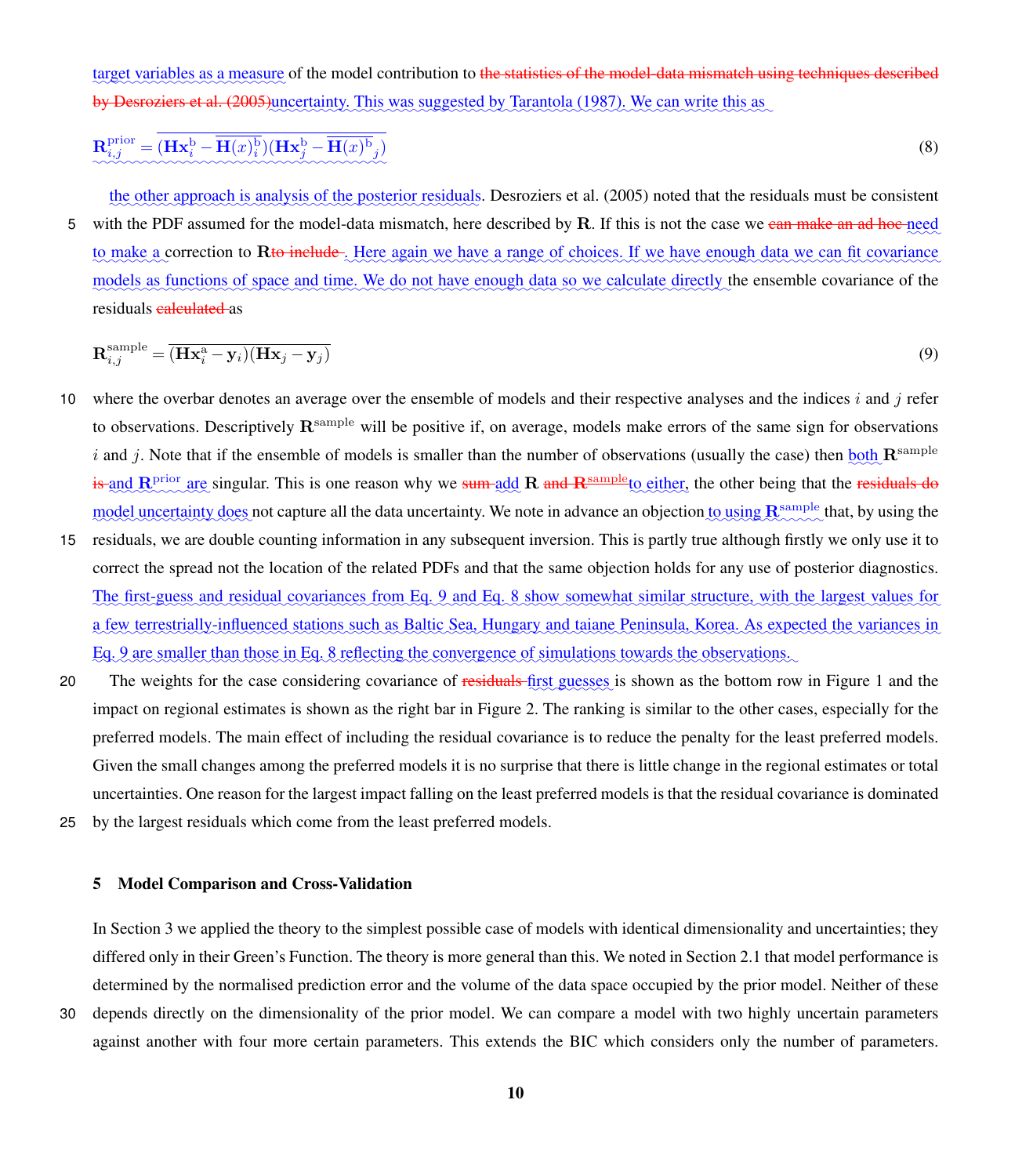<span id="page-15-2"></span>target variables as a measure of the model contribution to <del>the statistics of the model-data mismatch using techniques described</del> by [Desroziers et al.](#page-22-9) [\(2005\)](#page-22-9)uncertainty. This was suggested by [Tarantola](#page-24-2) [\(1987\)](#page-24-2). We can write this as

$$
\mathbf{R}_{i,j}^{\text{prior}} = (\mathbf{H}\mathbf{x}_i^{\text{b}} - \overline{\mathbf{H}(x)_i^{\text{b}}})(\mathbf{H}\mathbf{x}_j^{\text{b}} - \overline{\mathbf{H}(x)^{\text{b}}}_{j})
$$
(8)

the other approach is analysis of the posterior residuals. [Desroziers et al.](#page-22-9) [\(2005\)](#page-22-9) noted that the residuals must be consistent 5 with the PDF assumed for the model-data mismatch, here described by **R**. If this is not the case we can make an ad hoc need to make a correction to Rto include . Here again we have a range of choices. If we have enough data we can fit covariance models as functions of space and time. We do not have enough data so we calculate directly the ensemble covariance of the residuals calculated as

<span id="page-15-1"></span>
$$
\mathbf{R}_{i,j}^{\text{sample}} = \overline{(\mathbf{H}\mathbf{x}_i^{\text{a}} - \mathbf{y}_i)(\mathbf{H}\mathbf{x}_j - \mathbf{y}_j)}
$$
(9)

- 10 where the overbar denotes an average over the ensemble of models and their respective analyses and the indices  $i$  and  $j$  refer to observations. Descriptively  $\mathbf{R}^{\text{sample}}$  will be positive if, on average, models make errors of the same sign for observations i and j. Note that if the ensemble of models is smaller than the number of observations (usually the case) then  $\underline{both}$   $\mathbf{R}^{\text{sample}}$ is and  $R_{\text{prior}}^{\text{prior}}$  are singular. This is one reason why we sum add  $R$  and  $R_{\text{sample}}$  to either, the other being that the residuals do model uncertainty does not capture all the data uncertainty. We note in advance an objection to using  $\mathbb{R}^{\text{sample}}$  that, by using the
- 15 residuals, we are double counting information in any subsequent inversion. This is partly true although firstly we only use it to correct the spread not the location of the related PDFs and that the same objection holds for any use of posterior diagnostics. The first-guess and residual covariances from Eq. [9](#page-15-1) and Eq. [8](#page-15-2) show somewhat similar structure, with the largest values for a few terrestrially-influenced stations such as Baltic Sea, Hungary and taiane Peninsula, Korea. As expected the variances in Eq. Q are smaller than those in Eq. [8](#page-15-2) reflecting the convergence of simulations towards the observations.
- 20 The weights for the case considering covariance of residuals first guesses is shown as the bottom row in Figure [1](#page-12-0) and the impact on regional estimates is shown as the right bar in Figure [2.](#page-14-0) The ranking is similar to the other cases, especially for the preferred models. The main effect of including the residual covariance is to reduce the penalty for the least preferred models. Given the small changes among the preferred models it is no surprise that there is little change in the regional estimates or total uncertainties. One reason for the largest impact falling on the least preferred models is that the residual covariance is dominated
- 25 by the largest residuals which come from the least preferred models.

#### <span id="page-15-0"></span>5 Model Comparison and Cross-Validation

In Section [3](#page-11-0) we applied the theory to the simplest possible case of models with identical dimensionality and uncertainties; they differed only in their Green's Function. The theory is more general than this. We noted in Section [2.1](#page-9-1) that model performance is determined by the normalised prediction error and the volume of the data space occupied by the prior model. Neither of these 30 depends directly on the dimensionality of the prior model. We can compare a model with two highly uncertain parameters

against another with four more certain parameters. This extends the BIC which considers only the number of parameters.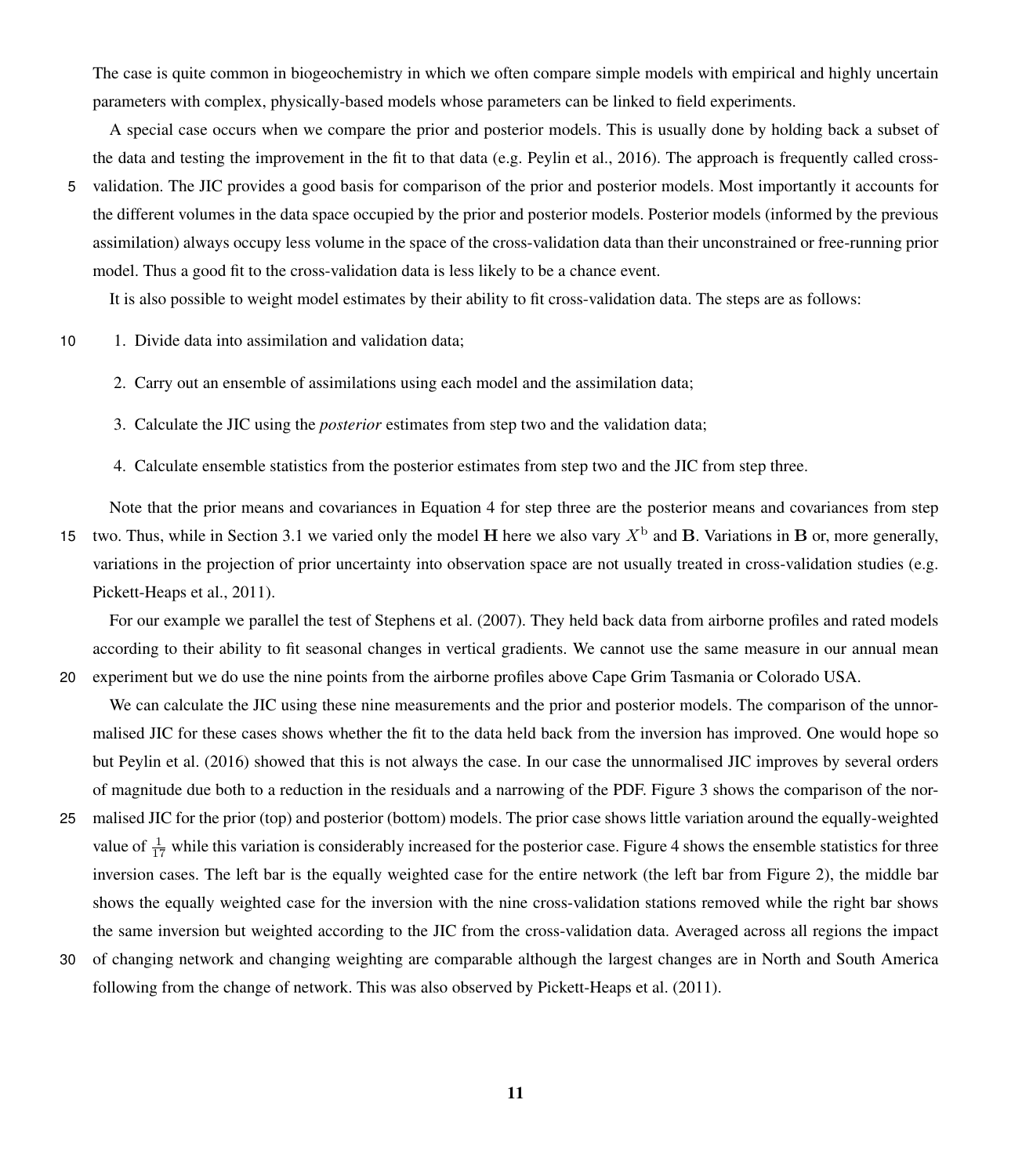The case is quite common in biogeochemistry in which we often compare simple models with empirical and highly uncertain parameters with complex, physically-based models whose parameters can be linked to field experiments.

A special case occurs when we compare the prior and posterior models. This is usually done by holding back a subset of the data and testing the improvement in the fit to that data (e.g. [Peylin et al., 2016\)](#page-23-15). The approach is frequently called cross-5 validation. The JIC provides a good basis for comparison of the prior and posterior models. Most importantly it accounts for the different volumes in the data space occupied by the prior and posterior models. Posterior models (informed by the previous assimilation) always occupy less volume in the space of the cross-validation data than their unconstrained or free-running prior model. Thus a good fit to the cross-validation data is less likely to be a chance event.

It is also possible to weight model estimates by their ability to fit cross-validation data. The steps are as follows:

10 1. Divide data into assimilation and validation data;

2. Carry out an ensemble of assimilations using each model and the assimilation data;

3. Calculate the JIC using the *posterior* estimates from step two and the validation data;

4. Calculate ensemble statistics from the posterior estimates from step two and the JIC from step three.

Note that the prior means and covariances in Equation [4](#page-9-0) for step three are the posterior means and covariances from step 15 two. Thus, while in Section [3.1](#page-12-1) we varied only the model H here we also vary  $X^{\text{b}}$  and B. Variations in B or, more generally, variations in the projection of prior uncertainty into observation space are not usually treated in cross-validation studies (e.g. [Pickett-Heaps et al., 2011\)](#page-23-8).

For our example we parallel the test of [Stephens et al.](#page-24-1) [\(2007\)](#page-24-1). They held back data from airborne profiles and rated models according to their ability to fit seasonal changes in vertical gradients. We cannot use the same measure in our annual mean

- 20 experiment but we do use the nine points from the airborne profiles above Cape Grim Tasmania or Colorado USA. We can calculate the JIC using these nine measurements and the prior and posterior models. The comparison of the unnormalised JIC for these cases shows whether the fit to the data held back from the inversion has improved. One would hope so but [Peylin et al.](#page-23-15) [\(2016\)](#page-23-15) showed that this is not always the case. In our case the unnormalised JIC improves by several orders of magnitude due both to a reduction in the residuals and a narrowing of the PDF. Figure [3](#page-17-0) shows the comparison of the nor-
- 25 malised JIC for the prior (top) and posterior (bottom) models. The prior case shows little variation around the equally-weighted value of  $\frac{1}{17}$  while this variation is considerably increased for the posterior case. Figure [4](#page-18-1) shows the ensemble statistics for three inversion cases. The left bar is the equally weighted case for the entire network (the left bar from Figure [2\)](#page-14-0), the middle bar shows the equally weighted case for the inversion with the nine cross-validation stations removed while the right bar shows the same inversion but weighted according to the JIC from the cross-validation data. Averaged across all regions the impact
- 30 of changing network and changing weighting are comparable although the largest changes are in North and South America following from the change of network. This was also observed by [Pickett-Heaps et al.](#page-23-8) [\(2011\)](#page-23-8).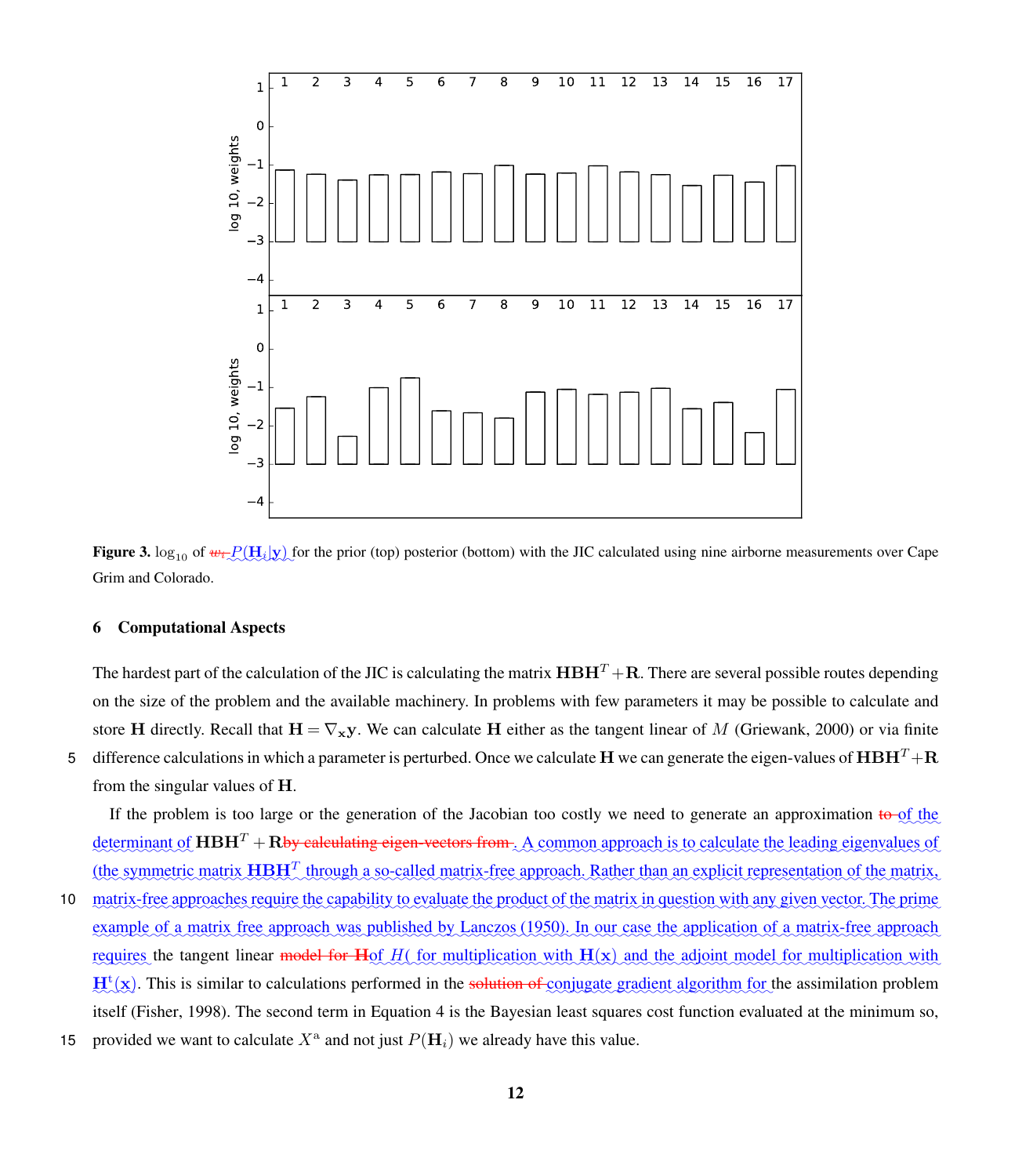<span id="page-17-0"></span>

**Figure 3.**  $\log_{10}$  of  $w_i \rightarrow P(H_i|y)$  for the prior (top) posterior (bottom) with the JIC calculated using nine airborne measurements over Cape Grim and Colorado.

#### 6 Computational Aspects

The hardest part of the calculation of the JIC is calculating the matrix  $H\to H^T + R$ . There are several possible routes depending on the size of the problem and the available machinery. In problems with few parameters it may be possible to calculate and store H directly. Recall that  $H = \nabla_{\bf x} {\bf y}$ . We can calculate H either as the tangent linear of M [\(Griewank, 2000\)](#page-22-10) or via finite 5 difference calculations in which a parameter is perturbed. Once we calculate H we can generate the eigen-values of  $H \times T + R$ from the singular values of H.

If the problem is too large or the generation of the Jacobian too costly we need to generate an approximation  $\frac{1}{6}$  of the  $\det$  determinant of  $HBH^T + R$  by calculating eigen-vectors from  $\Lambda$  common approach is to calculate the leading eigenvalues of (the symmetric matrix  $H\to H^T$  through a so-called matrix-free approach. Rather than an explicit representation of the matrix,

- 10 matrix-free approaches require the capability to evaluate the product of the matrix in question with any given vector. The prime example of a matrix free approach was published by [Lanczos](#page-23-16) [\(1950\)](#page-23-16). In our case the application of a matrix-free approach requires the tangent linear model for Hof H(for multiplication with H(x) and the adjoint model for multiplication with  $H^t(x)$ . This is similar to calculations performed in the solution of conjugate gradient algorithm for the assimilation problem itself [\(Fisher, 1998\)](#page-22-11). The second term in Equation [4](#page-9-0) is the Bayesian least squares cost function evaluated at the minimum so,
- 15 provided we want to calculate  $X^{\text{a}}$  and not just  $P(\mathbf{H}_i)$  we already have this value.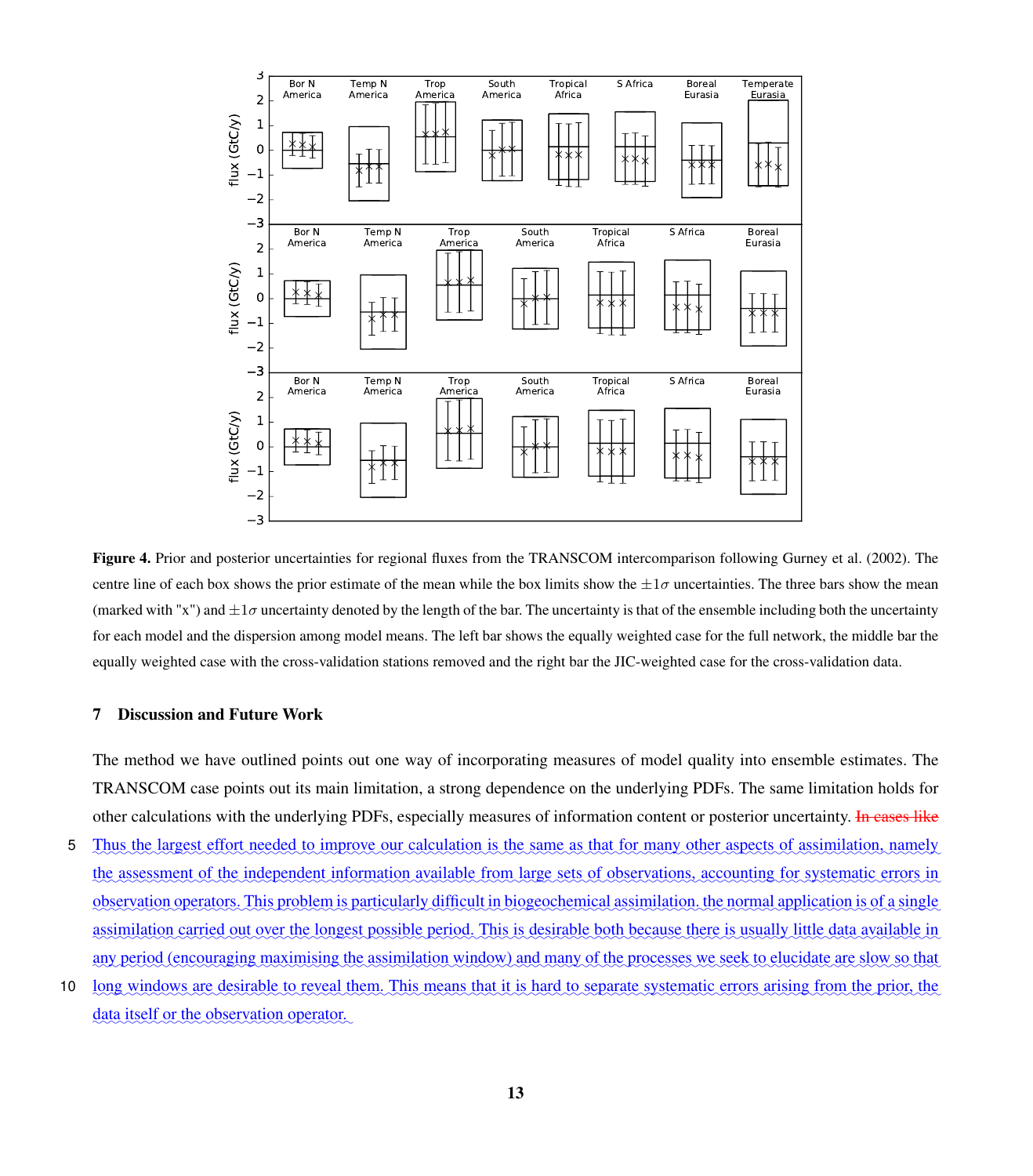<span id="page-18-1"></span>

Figure 4. Prior and posterior uncertainties for regional fluxes from the TRANSCOM intercomparison following [Gurney et al.](#page-22-3) [\(2002\)](#page-22-3). The centre line of each box shows the prior estimate of the mean while the box limits show the  $\pm 1\sigma$  uncertainties. The three bars show the mean (marked with "x") and  $\pm 1\sigma$  uncertainty denoted by the length of the bar. The uncertainty is that of the ensemble including both the uncertainty for each model and the dispersion among model means. The left bar shows the equally weighted case for the full network, the middle bar the equally weighted case with the cross-validation stations removed and the right bar the JIC-weighted case for the cross-validation data.

#### <span id="page-18-0"></span>7 Discussion and Future Work

The method we have outlined points out one way of incorporating measures of model quality into ensemble estimates. The TRANSCOM case points out its main limitation, a strong dependence on the underlying PDFs. The same limitation holds for other calculations with the underlying PDFs, especially measures of information content or posterior uncertainty. In cases like

- 5 Thus the largest effort needed to improve our calculation is the same as that for many other aspects of assimilation, namely the assessment of the independent information available from large sets of observations, accounting for systematic errors in observation operators. This problem is particularly difficult in biogeochemical assimilation, the normal application is of a single assimilation carried out over the longest possible period. This is desirable both because there is usually little data available in any period (encouraging maximising the assimilation window) and many of the processes we seek to elucidate are slow so that
- 10 long windows are desirable to reveal them. This means that it is hard to separate systematic errors arising from the prior, the data itself or the observation operator.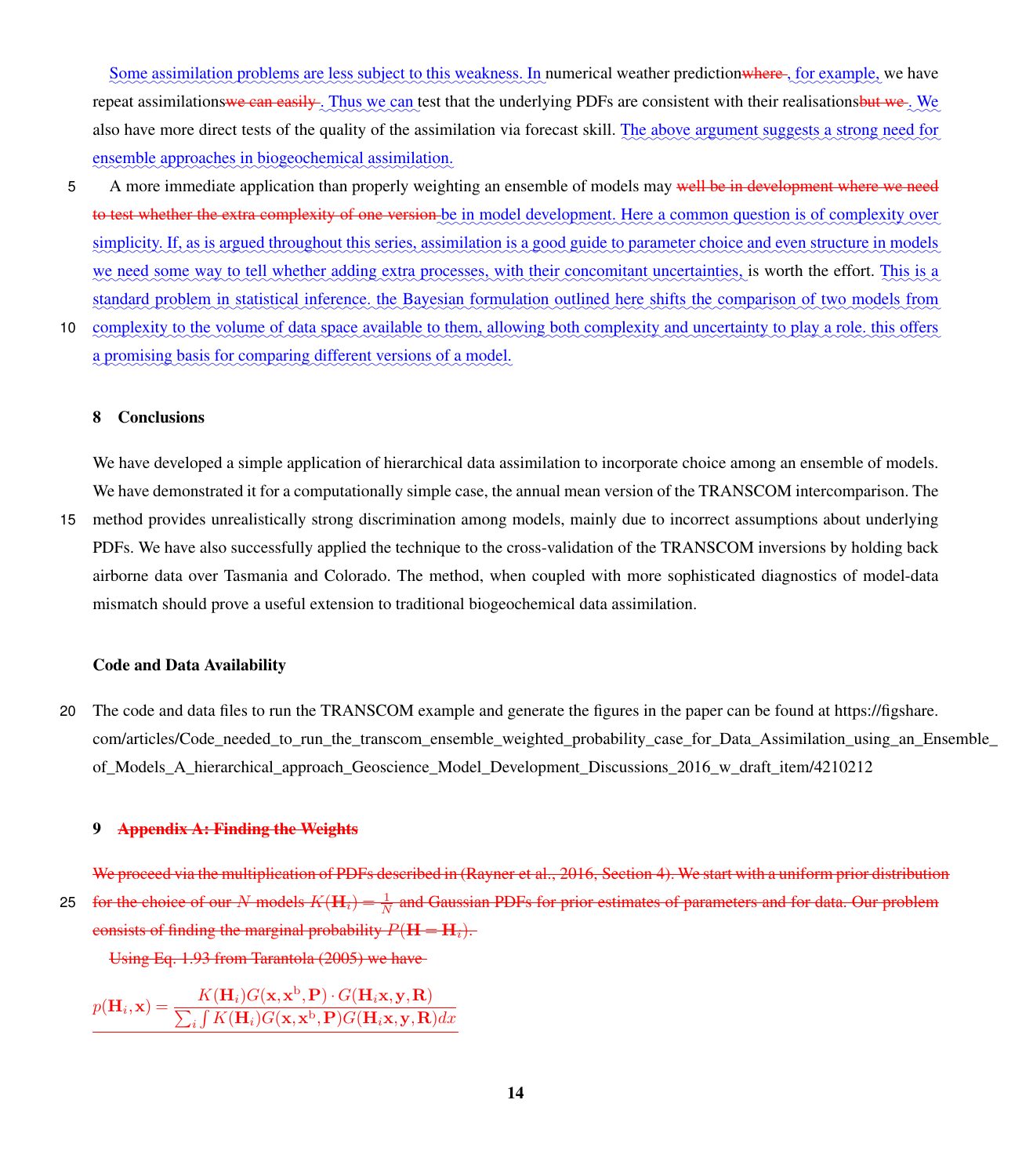Some assimilation problems are less subject to this weakness. In numerical weather predictionwhere, for example, we have repeat assimilations<del>we can easily</del>. Thus we can test that the underlying PDFs are consistent with their realisationsbut we. We also have more direct tests of the quality of the assimilation via forecast skill. The above argument suggests a strong need for ensemble approaches in biogeochemical assimilation.

- 5 A more immediate application than properly weighting an ensemble of models may well be in development where we need to test whether the extra complexity of one version be in model development. Here a common question is of complexity over <u>simplicity. If, as is argued throughout this series, assimilation is a good guide to parameter choice and even structure in models</u> we need some way to tell whether adding extra processes, with their concomitant uncertainties, is worth the effort. This is a standard problem in statistical inference, the Bayesian formulation outlined here shifts the comparison of two models from
- 10 complexity to the volume of data space available to them, allowing both complexity and uncertainty to play a role, this offers a promising basis for comparing different versions of a model.

#### 8 Conclusions

We have developed a simple application of hierarchical data assimilation to incorporate choice among an ensemble of models. We have demonstrated it for a computationally simple case, the annual mean version of the TRANSCOM intercomparison. The

15 method provides unrealistically strong discrimination among models, mainly due to incorrect assumptions about underlying PDFs. We have also successfully applied the technique to the cross-validation of the TRANSCOM inversions by holding back airborne data over Tasmania and Colorado. The method, when coupled with more sophisticated diagnostics of model-data mismatch should prove a useful extension to traditional biogeochemical data assimilation.

### Code and Data Availability

20 [T](https://figshare.com/articles/Code_needed_to_run_the_transcom_ensemble_weighted_probability_case_for_Data_Assimilation_using_an_Ensemble_of_Models_A_hierarchical_approach_Geoscience_Model_Development_Discussions_2016_w_draft_item/4210212)he code and data files to run the TRANSCOM example and generate the figures in the paper can be found at [https://figshare.](https://figshare.com/articles/Code_needed_to_run_the_transcom_ensemble_weighted_probability_case_for_Data_Assimilation_using_an_Ensemble_of_Models_A_hierarchical_approach_Geoscience_Model_Development_Discussions_2016_w_draft_item/4210212) [com/articles/Code\\_needed\\_to\\_run\\_the\\_transcom\\_ensemble\\_weighted\\_probability\\_case\\_for\\_Data\\_Assimilation\\_using\\_an\\_En](https://figshare.com/articles/Code_needed_to_run_the_transcom_ensemble_weighted_probability_case_for_Data_Assimilation_using_an_Ensemble_of_Models_A_hierarchical_approach_Geoscience_Model_Development_Discussions_2016_w_draft_item/4210212)semble of Models A hierarchical approach Geoscience Model Development Discussions 2016 w draft item/4210212

#### 9 Appendix A: Finding the Weights

We proceed via the multiplication of PDFs described in [\(Rayner et al., 2016,](#page-23-3) Section 4). We start with a uniform prior distribution 25 for the choice of our N models  $K(\mathbf{H}_i) = \frac{1}{N}$  and Gaussian PDFs for prior estimates of parameters and for data. Our problem consists of finding the marginal probability  $P(H = H_i)$ .

Using Eq. 1.93 from [Tarantola](#page-24-5) [\(2005\)](#page-24-5) we have

$$
p(\mathbf{H}_i, \mathbf{x}) = \frac{K(\mathbf{H}_i)G(\mathbf{x}, \mathbf{x}^{\text{b}}, \mathbf{P}) \cdot G(\mathbf{H}_i \mathbf{x}, \mathbf{y}, \mathbf{R})}{\sum_i \int K(\mathbf{H}_i)G(\mathbf{x}, \mathbf{x}^{\text{b}}, \mathbf{P})G(\mathbf{H}_i \mathbf{x}, \mathbf{y}, \mathbf{R})dx}
$$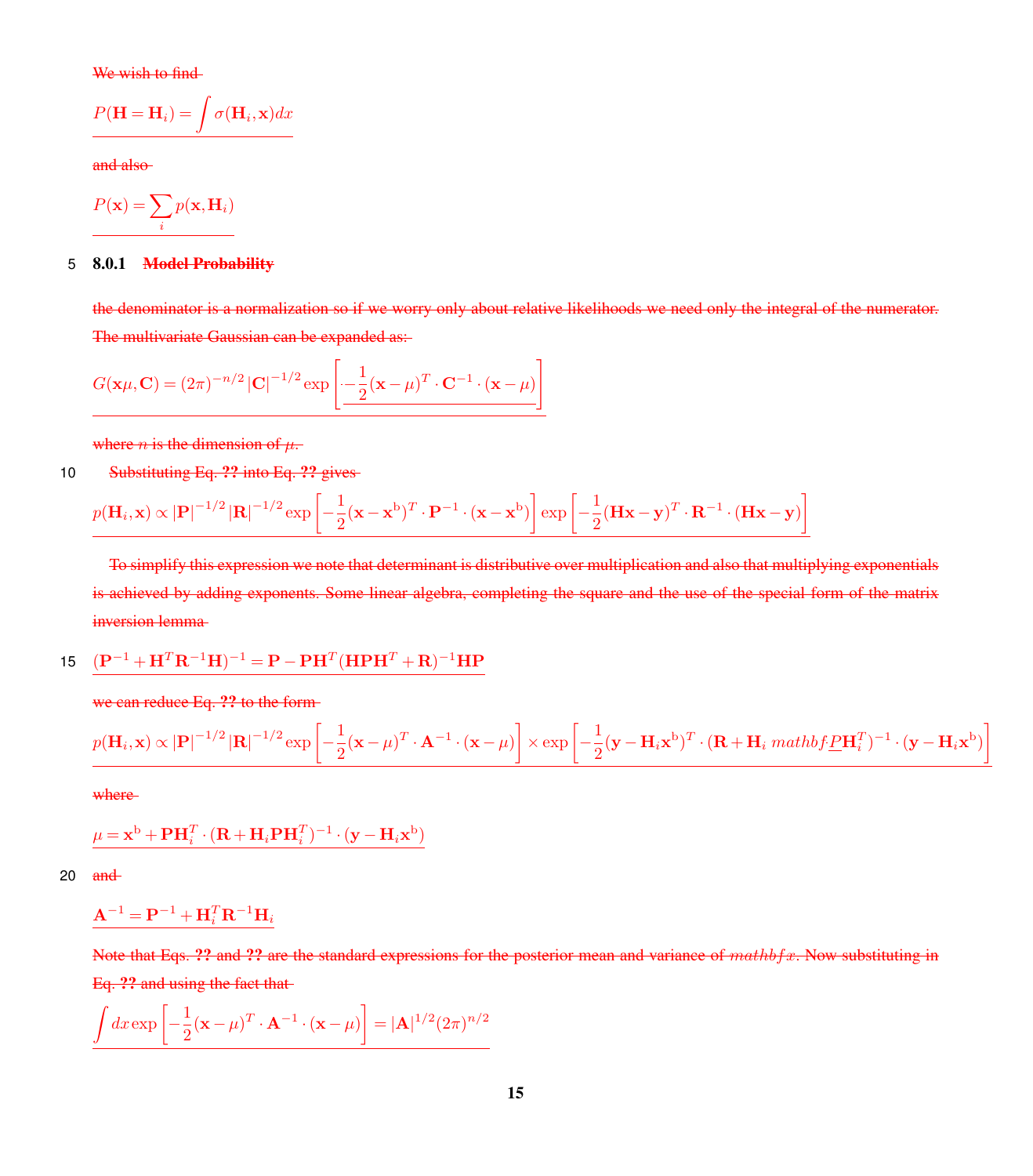We wish to find-

$$
P(\mathbf{H} = \mathbf{H}_i) = \int \sigma(\mathbf{H}_i, \mathbf{x}) dx
$$

and also

$$
P(\mathbf{x}) = \sum_{i} p(\mathbf{x}, \mathbf{H}_i)
$$

#### 5 8.0.1 Model Probability

the denominator is a normalization so if we worry only about relative likelihoods we need only the integral of the numerator. The multivariate Gaussian can be expanded as:

$$
G(\mathbf{x}\mu, \mathbf{C}) = (2\pi)^{-n/2} |\mathbf{C}|^{-1/2} \exp \left[ -\frac{1}{2} (\mathbf{x} - \mu)^T \cdot \mathbf{C}^{-1} \cdot (\mathbf{x} - \mu) \right]
$$

where *n* is the dimension of  $\mu$ .

10 Substituting Eq. ?? into Eq. ?? gives

$$
p(\mathbf{H}_i, \mathbf{x}) \propto |\mathbf{P}|^{-1/2} |\mathbf{R}|^{-1/2} \exp \left[ -\frac{1}{2} (\mathbf{x} - \mathbf{x}^{\mathrm{b}})^T \cdot \mathbf{P}^{-1} \cdot (\mathbf{x} - \mathbf{x}^{\mathrm{b}}) \right] \exp \left[ -\frac{1}{2} (\mathbf{H} \mathbf{x} - \mathbf{y})^T \cdot \mathbf{R}^{-1} \cdot (\mathbf{H} \mathbf{x} - \mathbf{y}) \right]
$$

To simplify this expression we note that determinant is distributive over multiplication and also that multiplying exponentials is achieved by adding exponents. Some linear algebra, completing the square and the use of the special form of the matrix inversion lemma

15 
$$
(\mathbf{P}^{-1} + \mathbf{H}^T \mathbf{R}^{-1} \mathbf{H})^{-1} = \mathbf{P} - \mathbf{P} \mathbf{H}^T (\mathbf{H} \mathbf{P} \mathbf{H}^T + \mathbf{R})^{-1} \mathbf{H} \mathbf{P}
$$

we can reduce Eq. ?? to the form

$$
p(\mathbf{H}_i, \mathbf{x}) \propto |\mathbf{P}|^{-1/2} |\mathbf{R}|^{-1/2} \exp \left[ -\frac{1}{2} (\mathbf{x} - \mu)^T \cdot \mathbf{A}^{-1} \cdot (\mathbf{x} - \mu) \right] \times \exp \left[ -\frac{1}{2} (\mathbf{y} - \mathbf{H}_i \mathbf{x}^{\mathrm{b}})^T \cdot (\mathbf{R} + \mathbf{H}_i \mathit{mathbf{\mathit{f}}}) \underline{P} \mathbf{H}_i^T)^{-1} \cdot (\mathbf{y} - \mathbf{H}_i \mathbf{x}^{\mathrm{b}}) \right]
$$

where

$$
\mu = \mathbf{x}^{\mathrm{b}} + \mathbf{P} \mathbf{H}_{i}^{T} \cdot (\mathbf{R} + \mathbf{H}_{i} \mathbf{P} \mathbf{H}_{i}^{T})^{-1} \cdot (\mathbf{y} - \mathbf{H}_{i} \mathbf{x}^{\mathrm{b}})
$$

20  $and$ 

$$
\mathbf{A}^{-1} = \mathbf{P}^{-1} + \mathbf{H}_i^T \mathbf{R}^{-1} \mathbf{H}_i
$$

Note that Eqs. ?? and ?? are the standard expressions for the posterior mean and variance of  $mathbf{x}$ . Now substituting in Eq. ?? and using the fact that

$$
\underline{\int dx \exp\left[-\frac{1}{2}(\mathbf{x} - \mu)^T \cdot \mathbf{A}^{-1} \cdot (\mathbf{x} - \mu)\right]} = |\mathbf{A}|^{1/2} (2\pi)^{n/2}
$$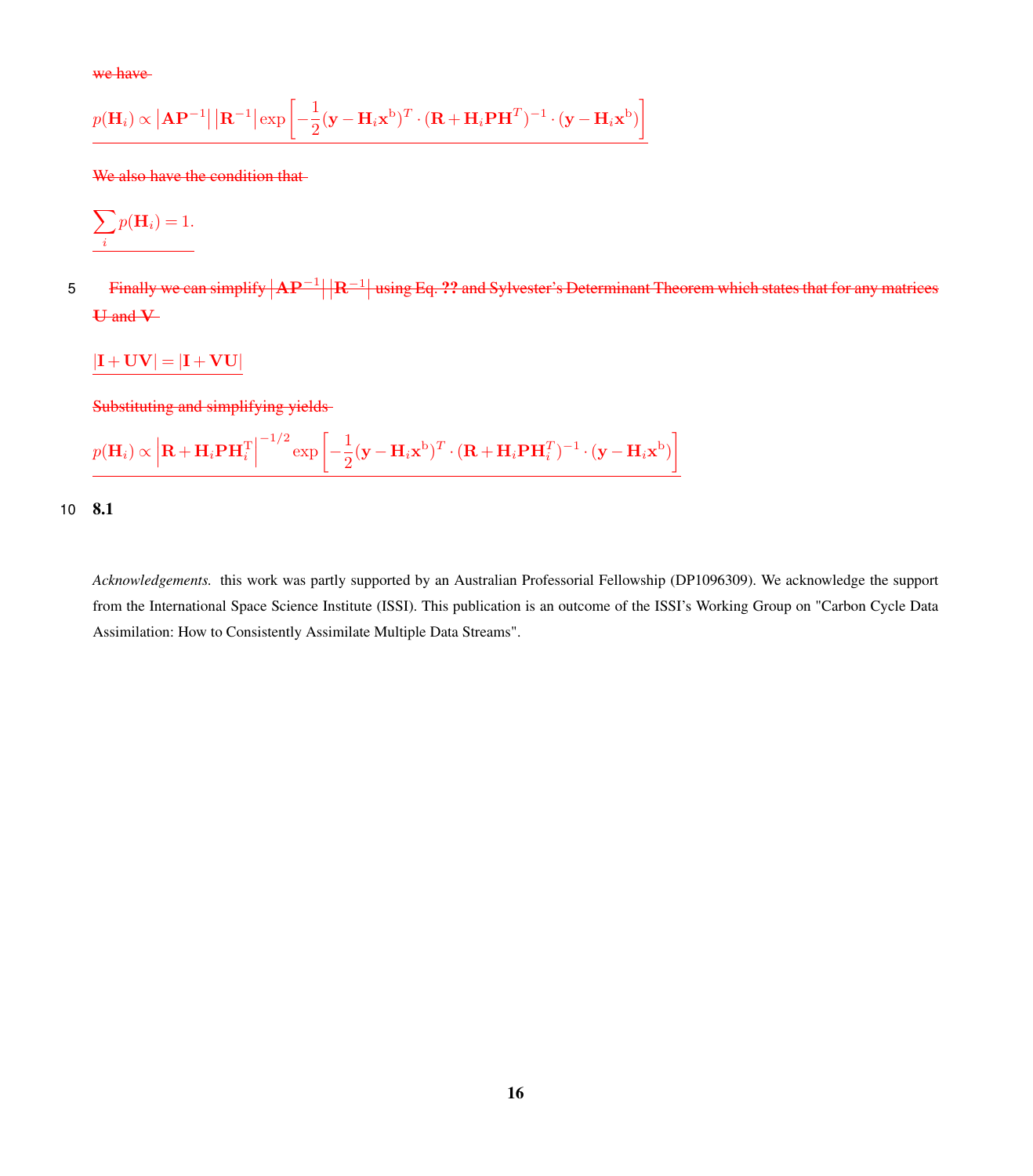we have

$$
p(\mathbf{H}_{i}) \propto |\mathbf{A}\mathbf{P}^{-1}| |\mathbf{R}^{-1}| \exp \left[-\frac{1}{2}(\mathbf{y}-\mathbf{H}_{i}\mathbf{x}^{b})^{T} \cdot (\mathbf{R}+\mathbf{H}_{i}\mathbf{P}\mathbf{H}^{T})^{-1} \cdot (\mathbf{y}-\mathbf{H}_{i}\mathbf{x}^{b})\right]
$$

We also have the condition that

$$
\sum_i p(\mathbf{H}_i) = 1.
$$

Finally we can simplify  $\rm{|\bf{AP}^{-1}||\bf{R}^{-1}|}$  using Eq.  $? ?$  and Sylvester's Determinant Theorem which states that for any matrices 5 U and V

 $|\mathbf{I} + \mathbf{U}\mathbf{V}| = |\mathbf{I} + \mathbf{V}\mathbf{U}|$ 

Substituting and simplifying yields

$$
p(\mathbf{H}_{i}) \propto \left| \mathbf{R} + \mathbf{H}_{i} \mathbf{P} \mathbf{H}_{i}^{\mathrm{T}} \right|^{-1/2} \exp \left[ -\frac{1}{2} (\mathbf{y} - \mathbf{H}_{i} \mathbf{x}^{\mathrm{b}})^{T} \cdot (\mathbf{R} + \mathbf{H}_{i} \mathbf{P} \mathbf{H}_{i}^{\mathrm{T}})^{-1} \cdot (\mathbf{y} - \mathbf{H}_{i} \mathbf{x}^{\mathrm{b}}) \right]
$$

10 8.1

*Acknowledgements.* this work was partly supported by an Australian Professorial Fellowship (DP1096309). We acknowledge the support from the International Space Science Institute (ISSI). This publication is an outcome of the ISSI's Working Group on "Carbon Cycle Data Assimilation: How to Consistently Assimilate Multiple Data Streams".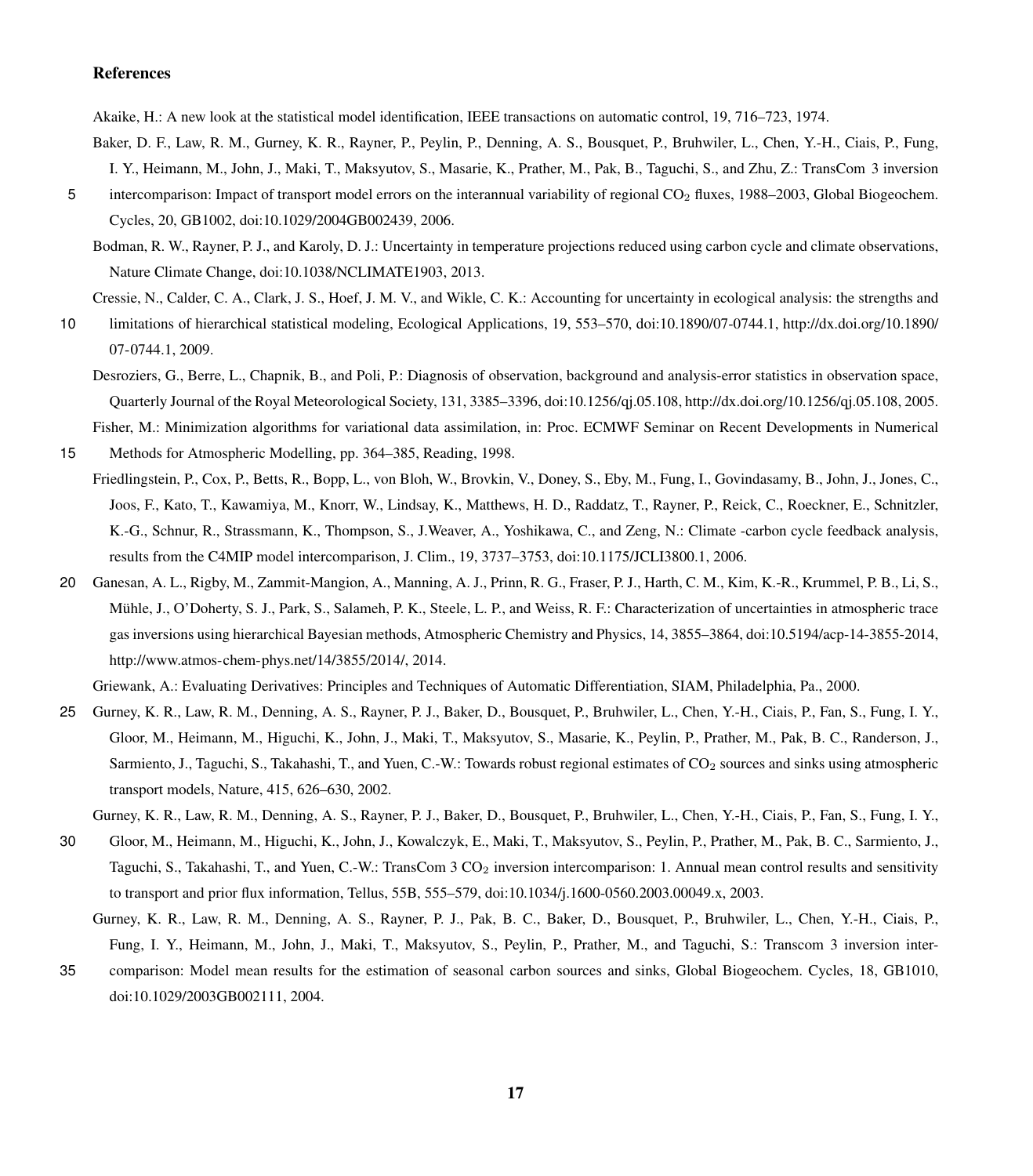#### References

<span id="page-22-8"></span>Akaike, H.: A new look at the statistical model identification, IEEE transactions on automatic control, 19, 716–723, 1974.

- <span id="page-22-6"></span>Baker, D. F., Law, R. M., Gurney, K. R., Rayner, P., Peylin, P., Denning, A. S., Bousquet, P., Bruhwiler, L., Chen, Y.-H., Ciais, P., Fung, I. Y., Heimann, M., John, J., Maki, T., Maksyutov, S., Masarie, K., Prather, M., Pak, B., Taguchi, S., and Zhu, Z.: TransCom 3 inversion
- <span id="page-22-0"></span>5 intercomparison: Impact of transport model errors on the interannual variability of regional CO<sub>2</sub> fluxes, 1988–2003, Global Biogeochem. Cycles, 20, GB1002, doi:10.1029/2004GB002439, 2006.
	- Bodman, R. W., Rayner, P. J., and Karoly, D. J.: Uncertainty in temperature projections reduced using carbon cycle and climate observations, Nature Climate Change, doi[:10.1038/NCLIMATE1903,](http://dx.doi.org/10.1038/NCLIMATE1903) 2013.

<span id="page-22-2"></span>Cressie, N., Calder, C. A., Clark, J. S., Hoef, J. M. V., and Wikle, C. K.: Accounting for uncertainty in ecological analysis: the strengths and

- <span id="page-22-9"></span>10 limitations of hierarchical statistical modeling, Ecological Applications, 19, 553–570, doi[:10.1890/07-0744.1, http://dx.doi.org/10.1890/](http://dx.doi.org/10.1890/07-0744.1) [07-0744.1,](http://dx.doi.org/10.1890/07-0744.1) 2009.
	- Desroziers, G., Berre, L., Chapnik, B., and Poli, P.: Diagnosis of observation, background and analysis-error statistics in observation space, Quarterly Journal of the Royal Meteorological Society, 131, 3385–3396, doi[:10.1256/qj.05.108, http://dx.doi.org/10.1256/qj.05.108,](http://dx.doi.org/10.1256/qj.05.108) 2005.

<span id="page-22-11"></span>Fisher, M.: Minimization algorithms for variational data assimilation, in: Proc. ECMWF Seminar on Recent Developments in Numerical 15 Methods for Atmospheric Modelling, pp. 364–385, Reading, 1998.

- <span id="page-22-1"></span>Friedlingstein, P., Cox, P., Betts, R., Bopp, L., von Bloh, W., Brovkin, V., Doney, S., Eby, M., Fung, I., Govindasamy, B., John, J., Jones, C., Joos, F., Kato, T., Kawamiya, M., Knorr, W., Lindsay, K., Matthews, H. D., Raddatz, T., Rayner, P., Reick, C., Roeckner, E., Schnitzler, K.-G., Schnur, R., Strassmann, K., Thompson, S., J.Weaver, A., Yoshikawa, C., and Zeng, N.: Climate -carbon cycle feedback analysis, results from the C4MIP model intercomparison, J. Clim., 19, 3737–3753, doi[:10.1175/JCLI3800.1,](http://dx.doi.org/10.1175/JCLI3800.1) 2006.
- <span id="page-22-7"></span>20 Ganesan, A. L., Rigby, M., Zammit-Mangion, A., Manning, A. J., Prinn, R. G., Fraser, P. J., Harth, C. M., Kim, K.-R., Krummel, P. B., Li, S., Mühle, J., O'Doherty, S. J., Park, S., Salameh, P. K., Steele, L. P., and Weiss, R. F.: Characterization of uncertainties in atmospheric trace gas inversions using hierarchical Bayesian methods, Atmospheric Chemistry and Physics, 14, 3855–3864, doi[:10.5194/acp-14-3855-2014,](http://dx.doi.org/10.5194/acp-14-3855-2014) [http://www.atmos-chem-phys.net/14/3855/2014/,](http://www.atmos-chem-phys.net/14/3855/2014/) 2014.

<span id="page-22-10"></span>Griewank, A.: Evaluating Derivatives: Principles and Techniques of Automatic Differentiation, SIAM, Philadelphia, Pa., 2000.

<span id="page-22-3"></span>25 Gurney, K. R., Law, R. M., Denning, A. S., Rayner, P. J., Baker, D., Bousquet, P., Bruhwiler, L., Chen, Y.-H., Ciais, P., Fan, S., Fung, I. Y., Gloor, M., Heimann, M., Higuchi, K., John, J., Maki, T., Maksyutov, S., Masarie, K., Peylin, P., Prather, M., Pak, B. C., Randerson, J., Sarmiento, J., Taguchi, S., Takahashi, T., and Yuen, C.-W.: Towards robust regional estimates of CO<sub>2</sub> sources and sinks using atmospheric transport models, Nature, 415, 626–630, 2002.

<span id="page-22-4"></span>Gurney, K. R., Law, R. M., Denning, A. S., Rayner, P. J., Baker, D., Bousquet, P., Bruhwiler, L., Chen, Y.-H., Ciais, P., Fan, S., Fung, I. Y.,

- 30 Gloor, M., Heimann, M., Higuchi, K., John, J., Kowalczyk, E., Maki, T., Maksyutov, S., Peylin, P., Prather, M., Pak, B. C., Sarmiento, J., Taguchi, S., Takahashi, T., and Yuen, C.-W.: TransCom 3 CO<sub>2</sub> inversion intercomparison: 1. Annual mean control results and sensitivity to transport and prior flux information, Tellus, 55B, 555–579, doi:10.1034/j.1600-0560.2003.00049.x, 2003.
	- Gurney, K. R., Law, R. M., Denning, A. S., Rayner, P. J., Pak, B. C., Baker, D., Bousquet, P., Bruhwiler, L., Chen, Y.-H., Ciais, P., Fung, I. Y., Heimann, M., John, J., Maki, T., Maksyutov, S., Peylin, P., Prather, M., and Taguchi, S.: Transcom 3 inversion inter-
- <span id="page-22-5"></span>35 comparison: Model mean results for the estimation of seasonal carbon sources and sinks, Global Biogeochem. Cycles, 18, GB1010, doi:10.1029/2003GB002111, 2004.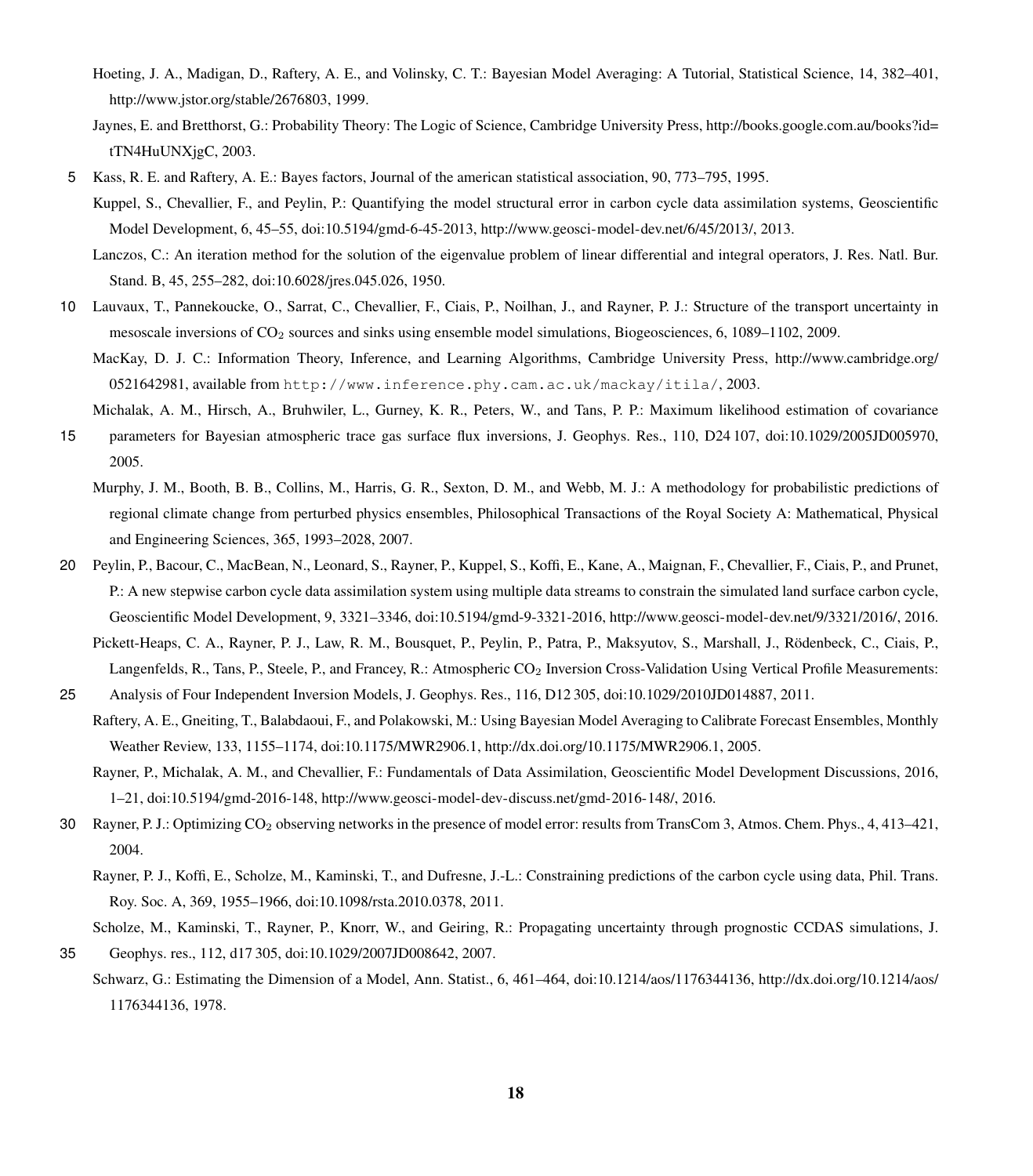- <span id="page-23-6"></span>Hoeting, J. A., Madigan, D., Raftery, A. E., and Volinsky, C. T.: Bayesian Model Averaging: A Tutorial, Statistical Science, 14, 382–401, [http://www.jstor.org/stable/2676803,](http://www.jstor.org/stable/2676803) 1999.
- <span id="page-23-9"></span>[J](http://books.google.com.au/books?id=tTN4HuUNXjgC)aynes, E. and Bretthorst, G.: Probability Theory: The Logic of Science, Cambridge University Press, [http://books.google.com.au/books?id=](http://books.google.com.au/books?id=tTN4HuUNXjgC) [tTN4HuUNXjgC,](http://books.google.com.au/books?id=tTN4HuUNXjgC) 2003.
- <span id="page-23-16"></span><span id="page-23-14"></span><span id="page-23-4"></span>5 Kass, R. E. and Raftery, A. E.: Bayes factors, Journal of the american statistical association, 90, 773–795, 1995.
	- Kuppel, S., Chevallier, F., and Peylin, P.: Quantifying the model structural error in carbon cycle data assimilation systems, Geoscientific Model Development, 6, 45–55, doi[:10.5194/gmd-6-45-2013,](http://dx.doi.org/10.5194/gmd-6-45-2013) [http://www.geosci-model-dev.net/6/45/2013/,](http://www.geosci-model-dev.net/6/45/2013/) 2013.
		- Lanczos, C.: An iteration method for the solution of the eigenvalue problem of linear differential and integral operators, J. Res. Natl. Bur. Stand. B, 45, 255–282, doi[:10.6028/jres.045.026,](http://dx.doi.org/10.6028/jres.045.026) 1950.
- <span id="page-23-13"></span><span id="page-23-5"></span>10 Lauvaux, T., Pannekoucke, O., Sarrat, C., Chevallier, F., Ciais, P., Noilhan, J., and Rayner, P. J.: Structure of the transport uncertainty in mesoscale inversions of CO<sup>2</sup> sources and sinks using ensemble model simulations, Biogeosciences, 6, 1089–1102, 2009.
	- [M](http://www.cambridge.org/0521642981)acKay, D. J. C.: Information Theory, Inference, and Learning Algorithms, Cambridge University Press, [http://www.cambridge.org/](http://www.cambridge.org/0521642981) [0521642981,](http://www.cambridge.org/0521642981) available from http://www.inference.phy.cam.ac.uk/mackay/itila/, 2003.
- <span id="page-23-10"></span><span id="page-23-2"></span>Michalak, A. M., Hirsch, A., Bruhwiler, L., Gurney, K. R., Peters, W., and Tans, P. P.: Maximum likelihood estimation of covariance 15 parameters for Bayesian atmospheric trace gas surface flux inversions, J. Geophys. Res., 110, D24 107, doi[:10.1029/2005JD005970,](http://dx.doi.org/10.1029/2005JD005970) 2005.
	- Murphy, J. M., Booth, B. B., Collins, M., Harris, G. R., Sexton, D. M., and Webb, M. J.: A methodology for probabilistic predictions of regional climate change from perturbed physics ensembles, Philosophical Transactions of the Royal Society A: Mathematical, Physical and Engineering Sciences, 365, 1993–2028, 2007.
- <span id="page-23-15"></span><span id="page-23-8"></span>20 Peylin, P., Bacour, C., MacBean, N., Leonard, S., Rayner, P., Kuppel, S., Koffi, E., Kane, A., Maignan, F., Chevallier, F., Ciais, P., and Prunet, P.: A new stepwise carbon cycle data assimilation system using multiple data streams to constrain the simulated land surface carbon cycle, Geoscientific Model Development, 9, 3321–3346, doi[:10.5194/gmd-9-3321-2016,](http://dx.doi.org/10.5194/gmd-9-3321-2016) [http://www.geosci-model-dev.net/9/3321/2016/,](http://www.geosci-model-dev.net/9/3321/2016/) 2016.
	- Pickett-Heaps, C. A., Rayner, P. J., Law, R. M., Bousquet, P., Peylin, P., Patra, P., Maksyutov, S., Marshall, J., Rödenbeck, C., Ciais, P., Langenfelds, R., Tans, P., Steele, P., and Francey, R.: Atmospheric CO<sub>2</sub> Inversion Cross-Validation Using Vertical Profile Measurements:
- <span id="page-23-7"></span><span id="page-23-3"></span>25 Analysis of Four Independent Inversion Models, J. Geophys. Res., 116, D12 305, doi[:10.1029/2010JD014887,](http://dx.doi.org/10.1029/2010JD014887) 2011.
	- Raftery, A. E., Gneiting, T., Balabdaoui, F., and Polakowski, M.: Using Bayesian Model Averaging to Calibrate Forecast Ensembles, Monthly Weather Review, 133, 1155–1174, doi[:10.1175/MWR2906.1, http://dx.doi.org/10.1175/MWR2906.1,](http://dx.doi.org/10.1175/MWR2906.1) 2005.
		- Rayner, P., Michalak, A. M., and Chevallier, F.: Fundamentals of Data Assimilation, Geoscientific Model Development Discussions, 2016, 1–21, doi[:10.5194/gmd-2016-148,](http://dx.doi.org/10.5194/gmd-2016-148) [http://www.geosci-model-dev-discuss.net/gmd-2016-148/,](http://www.geosci-model-dev-discuss.net/gmd-2016-148/) 2016.
- <span id="page-23-12"></span><span id="page-23-1"></span>30 Rayner, P. J.: Optimizing CO<sup>2</sup> observing networks in the presence of model error: results from TransCom 3, Atmos. Chem. Phys., 4, 413–421, 2004.
	- Rayner, P. J., Koffi, E., Scholze, M., Kaminski, T., and Dufresne, J.-L.: Constraining predictions of the carbon cycle using data, Phil. Trans. Roy. Soc. A, 369, 1955–1966, doi[:10.1098/rsta.2010.0378,](http://dx.doi.org/10.1098/rsta.2010.0378) 2011.
- <span id="page-23-0"></span>Scholze, M., Kaminski, T., Rayner, P., Knorr, W., and Geiring, R.: Propagating uncertainty through prognostic CCDAS simulations, J. 35 Geophys. res., 112, d17 305, doi:10.1029/2007JD008642, 2007.
- <span id="page-23-11"></span>[S](http://dx.doi.org/10.1214/aos/1176344136)chwarz, G.: Estimating the Dimension of a Model, Ann. Statist., 6, 461–464, doi[:10.1214/aos/1176344136, http://dx.doi.org/10.1214/aos/](http://dx.doi.org/10.1214/aos/1176344136) [1176344136,](http://dx.doi.org/10.1214/aos/1176344136) 1978.